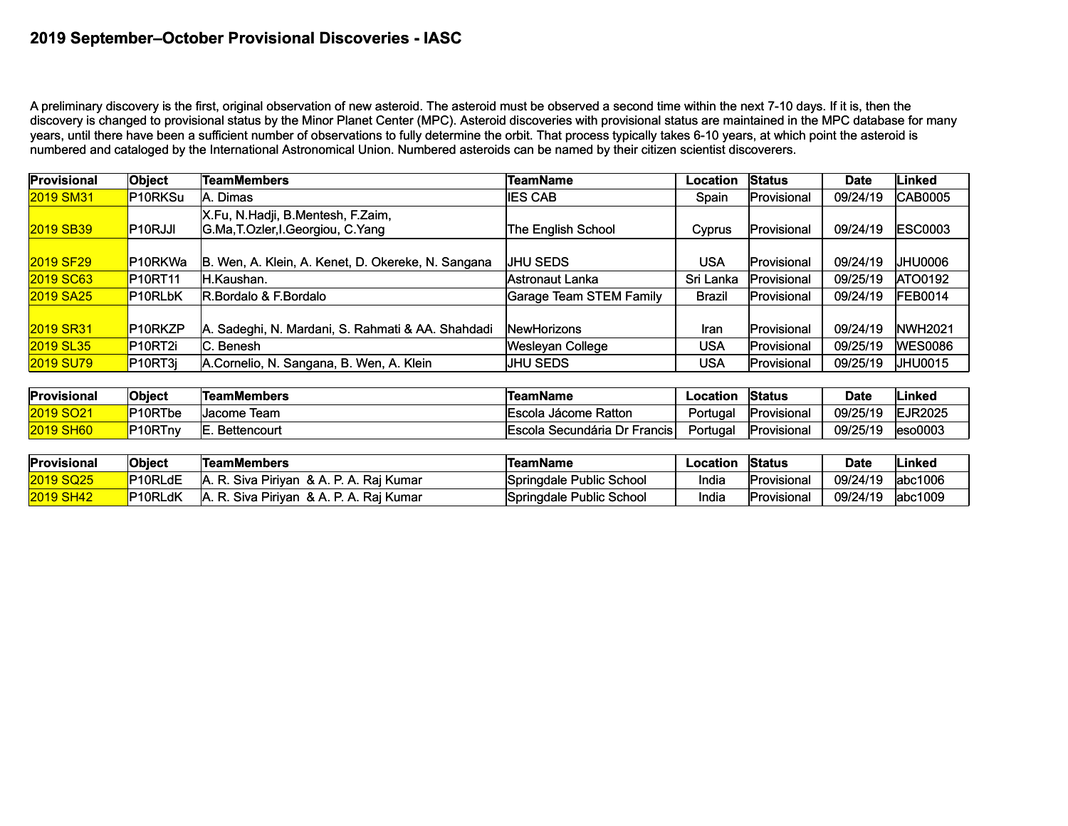## **2019 September–October Provisional Discoveries - IASC**

A preliminary discovery is the first, original observation of new asteroid. The asteroid must be observed a second time within the next 7-10 days. If it is, then the discovery is changed to provisional status by the Minor Planet Center (MPC). Asteroid discoveries with provisional status are maintained in the MPC database for many years, until there have been a sufficient number of observations to fully determine the orbit. That process typically takes 6-10 years, at which point the asteroid is numbered and cataloged by the International Astronomical Union. Numbered asteroids can be named by their citizen scientist discoverers.

| Provisional      | Object              | <b>TeamMembers</b>                                                     | <b>TeamName</b>         | Location      | <b>Status</b> | <b>Date</b> | Linked         |
|------------------|---------------------|------------------------------------------------------------------------|-------------------------|---------------|---------------|-------------|----------------|
| <b>2019 SM31</b> | P <sub>10RKSu</sub> | A. Dimas                                                               | <b>IES CAB</b>          | Spain         | Provisional   | 09/24/19    | CAB0005        |
| <b>2019 SB39</b> | P <sub>10RJJI</sub> | X.Fu, N.Hadji, B.Mentesh, F.Zaim,<br>G.Ma, T.Ozler, I.Georgiou, C.Yang | The English School      | Cyprus        | Provisional   | 09/24/19    | <b>ESC0003</b> |
| <b>2019 SF29</b> | P <sub>10RKWa</sub> | B. Wen, A. Klein, A. Kenet, D. Okereke, N. Sangana                     | IJHU SEDS               | USA           | Provisional   | 09/24/19    | 0000HL         |
| <b>2019 SC63</b> | P <sub>10RT11</sub> | H.Kaushan.                                                             | Astronaut Lanka         | Sri Lanka     | Provisional   | 09/25/19    | <b>ATO0192</b> |
| <b>2019 SA25</b> | P <sub>10RLbK</sub> | R.Bordalo & F.Bordalo                                                  | Garage Team STEM Family | <b>Brazil</b> | Provisional   | 09/24/19    | <b>FEB0014</b> |
|                  |                     |                                                                        |                         |               |               |             |                |
| <b>2019 SR31</b> | P <sub>10RKZP</sub> | A. Sadeghi, N. Mardani, S. Rahmati & AA. Shahdadi                      | <b>NewHorizons</b>      | Iran          | Provisional   | 09/24/19    | <b>NWH2021</b> |
| <b>2019 SL35</b> | P <sub>10RT2i</sub> | IC. Benesh                                                             | Wesleyan College        | <b>USA</b>    | Provisional   | 09/25/19    | WES0086        |
| <b>2019 SU79</b> | P <sub>10RT3i</sub> | A.Cornelio, N. Sangana, B. Wen, A. Klein                               | IJHU SEDS               | USA           | Provisional   | 09/25/19    | JHU0015        |

| Provisional           | Object              | ∣TeamMembers | ∣TeamName                              | ∟ocation | <b>Status</b> | Date     | Linked          |
|-----------------------|---------------------|--------------|----------------------------------------|----------|---------------|----------|-----------------|
| 2019 SO <sub>21</sub> | P <sub>10RTbe</sub> | IJacome Team | Escola Jácome Ratton                   | Portugal | 'Provisiona.  | 09/25/19 | <b>IEJR2025</b> |
| <b>2019 SH60</b>      | P <sub>10RTny</sub> | Bettencourt  | <b>IEscola Secundária Dr Francis I</b> | Portugal | lProvisional  | 09/25/19 | leso0003        |

| Provisional | <b>Object</b>       | ∣TeamMembers                                     | ∣TeamName                | ∟ocation | <b>Status</b> | <b>Date</b> | Linked  |
|-------------|---------------------|--------------------------------------------------|--------------------------|----------|---------------|-------------|---------|
| 2019 SQ25   | P <sub>10RLdE</sub> | A. R. Siva Pirivan & A. P. A. Rai Kumar          | Springdale Public School | India    | Provisional   | 09/24/19    | abc1006 |
| 2019 SH42   | P <sub>10RLdK</sub> | Siva Pirivan & A. P. A. Rai Kumar<br>. R.<br>IA. | Springdale Public School | India    | Provisional   | 09/24/19    | abc1009 |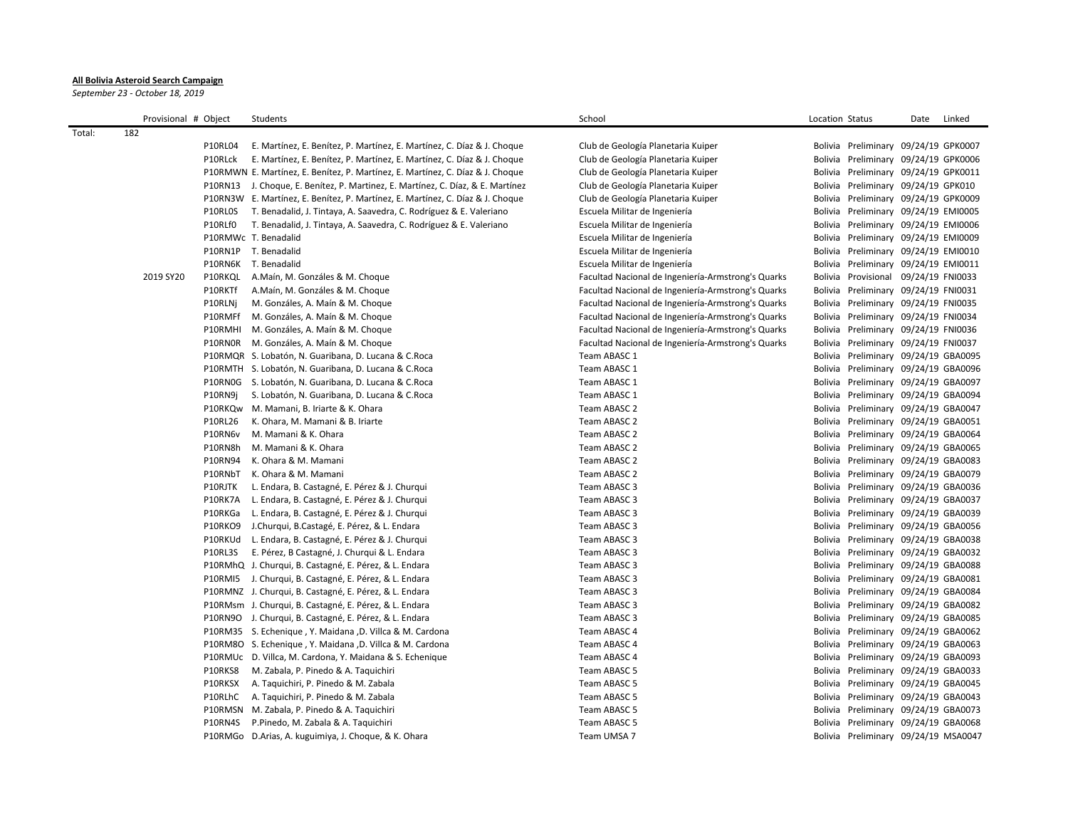## **All Bolivia Asteroid Search Campaign**

*September 23 - October 18, 2019*

|        | Provisional # Object |                | Students                                                                       | School                                             | Location Status                      | Date | Linked |
|--------|----------------------|----------------|--------------------------------------------------------------------------------|----------------------------------------------------|--------------------------------------|------|--------|
| Total: | 182                  |                |                                                                                |                                                    |                                      |      |        |
|        |                      | P10RL04        | E. Martínez, E. Benítez, P. Martínez, E. Martínez, C. Díaz & J. Choque         | Club de Geología Planetaria Kuiper                 | Bolivia Preliminary 09/24/19 GPK0007 |      |        |
|        |                      | P10RLck        | E. Martínez, E. Benítez, P. Martínez, E. Martínez, C. Díaz & J. Choque         | Club de Geología Planetaria Kuiper                 | Bolivia Preliminary 09/24/19 GPK0006 |      |        |
|        |                      |                | P10RMWN E. Martínez, E. Benítez, P. Martínez, E. Martínez, C. Díaz & J. Choque | Club de Geología Planetaria Kuiper                 | Bolivia Preliminary 09/24/19 GPK0011 |      |        |
|        |                      | P10RN13        | J. Choque, E. Benítez, P. Martinez, E. Martínez, C. Díaz, & E. Martínez        | Club de Geología Planetaria Kuiper                 | Bolivia Preliminary 09/24/19 GPK010  |      |        |
|        |                      |                | P10RN3W E. Martínez, E. Benítez, P. Martínez, E. Martínez, C. Díaz & J. Choque | Club de Geología Planetaria Kuiper                 | Bolivia Preliminary 09/24/19 GPK0009 |      |        |
|        |                      | P10RL0S        | T. Benadalid, J. Tintaya, A. Saavedra, C. Rodríguez & E. Valeriano             | Escuela Militar de Ingeniería                      | Bolivia Preliminary 09/24/19 EMI0005 |      |        |
|        |                      | P10RLf0        | T. Benadalid, J. Tintaya, A. Saavedra, C. Rodríguez & E. Valeriano             | Escuela Militar de Ingeniería                      | Bolivia Preliminary 09/24/19 EMI0006 |      |        |
|        |                      |                | P10RMWc T. Benadalid                                                           | Escuela Militar de Ingeniería                      | Bolivia Preliminary 09/24/19 EMI0009 |      |        |
|        |                      |                | P10RN1P T. Benadalid                                                           | Escuela Militar de Ingeniería                      | Bolivia Preliminary 09/24/19 EMI0010 |      |        |
|        |                      |                | P10RN6K T. Benadalid                                                           | Escuela Militar de Ingeniería                      | Bolivia Preliminary 09/24/19 EMI0011 |      |        |
|        | 2019 SY20            | P10RKQL        | A.Maín, M. Gonzáles & M. Choque                                                | Facultad Nacional de Ingeniería-Armstrong's Quarks | Bolivia Provisional 09/24/19 FNI0033 |      |        |
|        |                      | P10RKTf        | A.Maín, M. Gonzáles & M. Choque                                                | Facultad Nacional de Ingeniería-Armstrong's Quarks | Bolivia Preliminary 09/24/19 FNI0031 |      |        |
|        |                      | P10RLNj        | M. Gonzáles, A. Maín & M. Choque                                               | Facultad Nacional de Ingeniería-Armstrong's Quarks | Bolivia Preliminary 09/24/19 FNI0035 |      |        |
|        |                      | P10RMFf        | M. Gonzáles, A. Maín & M. Choque                                               | Facultad Nacional de Ingeniería-Armstrong's Quarks | Bolivia Preliminary 09/24/19 FNI0034 |      |        |
|        |                      | P10RMHI        | M. Gonzáles, A. Maín & M. Choque                                               | Facultad Nacional de Ingeniería-Armstrong's Quarks | Bolivia Preliminary 09/24/19 FNI0036 |      |        |
|        |                      | P10RN0R        | M. Gonzáles, A. Maín & M. Choque                                               | Facultad Nacional de Ingeniería-Armstrong's Quarks | Bolivia Preliminary 09/24/19 FNI0037 |      |        |
|        |                      |                | P10RMQR S. Lobatón, N. Guaribana, D. Lucana & C.Roca                           | Team ABASC 1                                       | Bolivia Preliminary 09/24/19 GBA0095 |      |        |
|        |                      |                | P10RMTH S. Lobatón, N. Guaribana, D. Lucana & C.Roca                           | Team ABASC 1                                       | Bolivia Preliminary 09/24/19 GBA0096 |      |        |
|        |                      |                | P10RN0G S. Lobatón, N. Guaribana, D. Lucana & C. Roca                          | Team ABASC 1                                       | Bolivia Preliminary 09/24/19 GBA0097 |      |        |
|        |                      | P10RN9j        | S. Lobatón, N. Guaribana, D. Lucana & C.Roca                                   | Team ABASC 1                                       | Bolivia Preliminary 09/24/19 GBA0094 |      |        |
|        |                      |                | P10RKQw M. Mamani, B. Iriarte & K. Ohara                                       | Team ABASC 2                                       | Bolivia Preliminary 09/24/19 GBA0047 |      |        |
|        |                      | <b>P10RL26</b> | K. Ohara, M. Mamani & B. Iriarte                                               | Team ABASC 2                                       | Bolivia Preliminary 09/24/19 GBA0051 |      |        |
|        |                      | P10RN6v        | M. Mamani & K. Ohara                                                           | Team ABASC 2                                       | Bolivia Preliminary 09/24/19 GBA0064 |      |        |
|        |                      | P10RN8h        | M. Mamani & K. Ohara                                                           | Team ABASC 2                                       | Bolivia Preliminary 09/24/19 GBA0065 |      |        |
|        |                      | P10RN94        | K. Ohara & M. Mamani                                                           | Team ABASC 2                                       | Bolivia Preliminary 09/24/19 GBA0083 |      |        |
|        |                      | P10RNbT        | K. Ohara & M. Mamani                                                           | Team ABASC 2                                       | Bolivia Preliminary 09/24/19 GBA0079 |      |        |
|        |                      | P10RJTK        | L. Endara, B. Castagné, E. Pérez & J. Churqui                                  | Team ABASC 3                                       | Bolivia Preliminary 09/24/19 GBA0036 |      |        |
|        |                      |                | P10RK7A L. Endara, B. Castagné, E. Pérez & J. Churqui                          | Team ABASC 3                                       | Bolivia Preliminary 09/24/19 GBA0037 |      |        |
|        |                      | P10RKGa        | L. Endara, B. Castagné, E. Pérez & J. Churqui                                  | Team ABASC 3                                       | Bolivia Preliminary 09/24/19 GBA0039 |      |        |
|        |                      | P10RKO9        | J.Churqui, B.Castagé, E. Pérez, & L. Endara                                    | Team ABASC 3                                       | Bolivia Preliminary 09/24/19 GBA0056 |      |        |
|        |                      |                | P10RKUd L. Endara, B. Castagné, E. Pérez & J. Churqui                          | Team ABASC 3                                       | Bolivia Preliminary 09/24/19 GBA0038 |      |        |
|        |                      | P10RL3S        | E. Pérez, B Castagné, J. Churqui & L. Endara                                   | Team ABASC 3                                       | Bolivia Preliminary 09/24/19 GBA0032 |      |        |
|        |                      |                | P10RMhQ J. Churqui, B. Castagné, E. Pérez, & L. Endara                         | Team ABASC 3                                       | Bolivia Preliminary 09/24/19 GBA0088 |      |        |
|        |                      |                | P10RMI5 J. Churqui, B. Castagné, E. Pérez, & L. Endara                         | Team ABASC 3                                       | Bolivia Preliminary 09/24/19 GBA0081 |      |        |
|        |                      |                | P10RMNZ J. Churqui, B. Castagné, E. Pérez, & L. Endara                         | Team ABASC 3                                       | Bolivia Preliminary 09/24/19 GBA0084 |      |        |
|        |                      |                | P10RMsm J. Churqui, B. Castagné, E. Pérez, & L. Endara                         | Team ABASC 3                                       | Bolivia Preliminary 09/24/19 GBA0082 |      |        |
|        |                      |                | P10RN9O J. Churqui, B. Castagné, E. Pérez, & L. Endara                         | Team ABASC 3                                       | Bolivia Preliminary 09/24/19 GBA0085 |      |        |
|        |                      |                | P10RM35 S. Echenique, Y. Maidana, D. Villca & M. Cardona                       | Team ABASC 4                                       | Bolivia Preliminary 09/24/19 GBA0062 |      |        |
|        |                      |                | P10RM8O S. Echenique, Y. Maidana, D. Villca & M. Cardona                       | Team ABASC 4                                       | Bolivia Preliminary 09/24/19 GBA0063 |      |        |
|        |                      |                | P10RMUc D. Villca, M. Cardona, Y. Maidana & S. Echenique                       | Team ABASC 4                                       | Bolivia Preliminary 09/24/19 GBA0093 |      |        |
|        |                      | P10RKS8        | M. Zabala, P. Pinedo & A. Taquichiri                                           | Team ABASC 5                                       | Bolivia Preliminary 09/24/19 GBA0033 |      |        |
|        |                      | P10RKSX        | A. Taquichiri, P. Pinedo & M. Zabala                                           | Team ABASC 5                                       | Bolivia Preliminary 09/24/19 GBA0045 |      |        |
|        |                      | P10RLhC        | A. Taquichiri, P. Pinedo & M. Zabala                                           | Team ABASC 5                                       | Bolivia Preliminary 09/24/19 GBA0043 |      |        |
|        |                      |                | P10RMSN M. Zabala, P. Pinedo & A. Taquichiri                                   | Team ABASC 5                                       | Bolivia Preliminary 09/24/19 GBA0073 |      |        |
|        |                      | P10RN4S        | P.Pinedo, M. Zabala & A. Taquichiri                                            | Team ABASC 5                                       | Bolivia Preliminary 09/24/19 GBA0068 |      |        |
|        |                      |                | P10RMGo D.Arias, A. kuguimiya, J. Choque, & K. Ohara                           | Team UMSA 7                                        | Bolivia Preliminary 09/24/19 MSA0047 |      |        |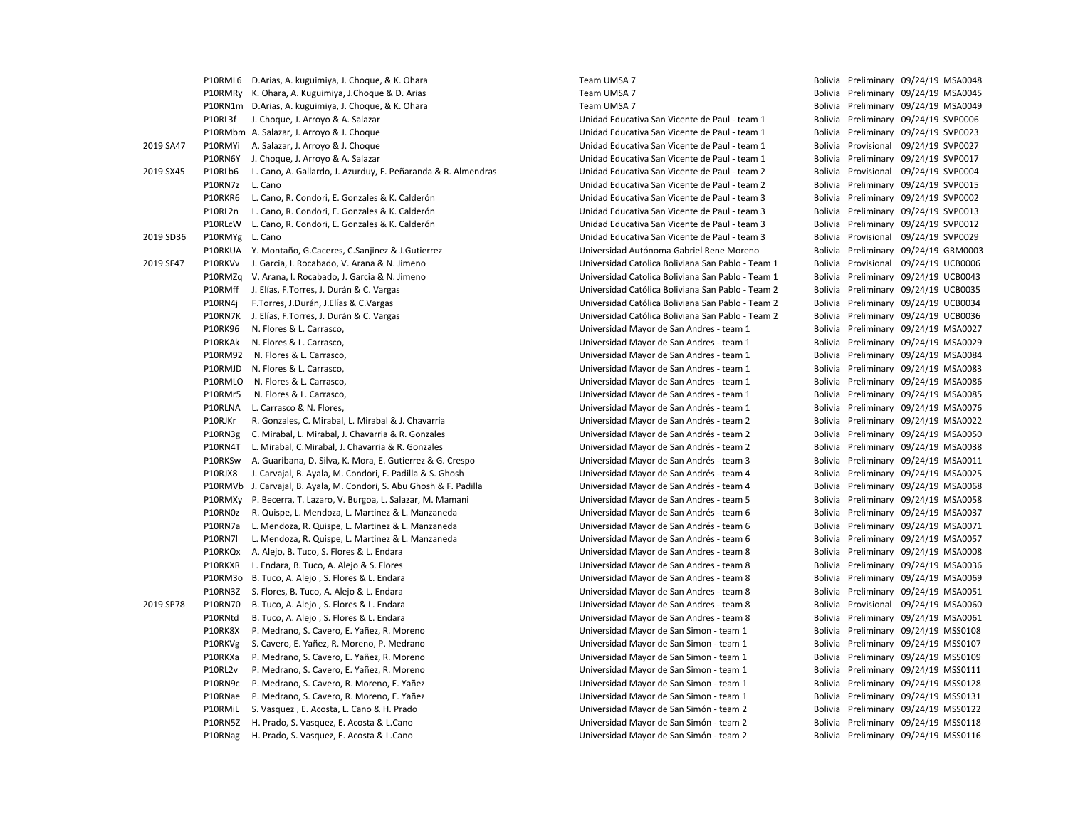|           |                    | P10RML6 D.Arias, A. kuguimiya, J. Choque, & K. Ohara                                                   | Team UMSA 7                                                                          |                     | Bolivia Preliminary 09/24/19 MSA0048                                         |
|-----------|--------------------|--------------------------------------------------------------------------------------------------------|--------------------------------------------------------------------------------------|---------------------|------------------------------------------------------------------------------|
|           |                    | P10RMRy K. Ohara, A. Kuguimiya, J. Choque & D. Arias                                                   | Team UMSA 7                                                                          |                     | Bolivia Preliminary 09/24/19 MSA0045                                         |
|           |                    | P10RN1m D.Arias, A. kuguimiya, J. Choque, & K. Ohara                                                   | Team UMSA 7                                                                          |                     | Bolivia Preliminary 09/24/19 MSA0049                                         |
|           | P10RL3f            | J. Choque, J. Arroyo & A. Salazar                                                                      | Unidad Educativa San Vicente de Paul - team 1                                        |                     | Bolivia Preliminary 09/24/19 SVP0006                                         |
|           |                    | P10RMbm A. Salazar, J. Arroyo & J. Choque                                                              | Unidad Educativa San Vicente de Paul - team 1                                        |                     | Bolivia Preliminary 09/24/19 SVP0023                                         |
| 2019 SA47 | P10RMYi            | A. Salazar, J. Arroyo & J. Choque                                                                      | Unidad Educativa San Vicente de Paul - team 1                                        | Bolivia Provisional | 09/24/19 SVP0027                                                             |
|           | P10RN6Y            | J. Choque, J. Arroyo & A. Salazar                                                                      | Unidad Educativa San Vicente de Paul - team 1                                        |                     | Bolivia Preliminary 09/24/19 SVP0017                                         |
| 2019 SX45 | P10RLb6            | L. Cano, A. Gallardo, J. Azurduy, F. Peñaranda & R. Almendras                                          | Unidad Educativa San Vicente de Paul - team 2                                        |                     | Bolivia Provisional 09/24/19 SVP0004                                         |
|           | P10RN7z            | L. Cano                                                                                                | Unidad Educativa San Vicente de Paul - team 2                                        |                     | Bolivia Preliminary 09/24/19 SVP0015                                         |
|           | P10RKR6            | L. Cano, R. Condori, E. Gonzales & K. Calderón                                                         | Unidad Educativa San Vicente de Paul - team 3                                        |                     | Bolivia Preliminary 09/24/19 SVP0002                                         |
|           | P10RL2n            | L. Cano, R. Condori, E. Gonzales & K. Calderón                                                         | Unidad Educativa San Vicente de Paul - team 3                                        |                     | Bolivia Preliminary 09/24/19 SVP0013                                         |
|           | P10RLcW            | L. Cano, R. Condori, E. Gonzales & K. Calderón                                                         | Unidad Educativa San Vicente de Paul - team 3                                        |                     | Bolivia Preliminary 09/24/19 SVP0012                                         |
| 2019 SD36 | P10RMYg L. Cano    |                                                                                                        | Unidad Educativa San Vicente de Paul - team 3                                        |                     | Bolivia Provisional 09/24/19 SVP0029                                         |
|           | P10RKUA            | Y. Montaño, G.Caceres, C.Sanjinez & J.Gutierrez                                                        | Universidad Autónoma Gabriel Rene Moreno                                             |                     | Bolivia Preliminary 09/24/19 GRM0003                                         |
| 2019 SF47 | P10RKVv            | J. Garcia, I. Rocabado, V. Arana & N. Jimeno                                                           | Universidad Catolica Boliviana San Pablo - Team 1                                    |                     | Bolivia Provisional 09/24/19 UCB0006                                         |
|           | P10RMZq            | V. Arana, I. Rocabado, J. Garcia & N. Jimeno                                                           | Universidad Catolica Boliviana San Pablo - Team 1                                    |                     | Bolivia Preliminary 09/24/19 UCB0043                                         |
|           | P10RMff            | J. Elías, F.Torres, J. Durán & C. Vargas                                                               | Universidad Católica Boliviana San Pablo - Team 2                                    |                     | Bolivia Preliminary 09/24/19 UCB0035                                         |
|           | P10RN4j            | F. Torres, J. Durán, J. Elías & C. Vargas                                                              | Universidad Católica Boliviana San Pablo - Team 2                                    |                     | Bolivia Preliminary 09/24/19 UCB0034                                         |
|           | P10RN7K            | J. Elías, F.Torres, J. Durán & C. Vargas                                                               | Universidad Católica Boliviana San Pablo - Team 2                                    |                     | Bolivia Preliminary 09/24/19 UCB0036                                         |
|           | P10RK96            | N. Flores & L. Carrasco,                                                                               | Universidad Mayor de San Andres - team 1                                             |                     | Bolivia Preliminary 09/24/19 MSA0027                                         |
|           | P10RKAk            | N. Flores & L. Carrasco,                                                                               | Universidad Mayor de San Andres - team 1                                             |                     | Bolivia Preliminary 09/24/19 MSA0029                                         |
|           | P10RM92            | N. Flores & L. Carrasco,                                                                               | Universidad Mayor de San Andres - team 1                                             |                     | Bolivia Preliminary 09/24/19 MSA0084                                         |
|           | P10RMJD            | N. Flores & L. Carrasco,                                                                               | Universidad Mayor de San Andres - team 1                                             |                     | Bolivia Preliminary 09/24/19 MSA0083                                         |
|           | P10RMLO            | N. Flores & L. Carrasco,                                                                               | Universidad Mayor de San Andres - team 1                                             |                     | Bolivia Preliminary 09/24/19 MSA0086                                         |
|           | P10RMr5            | N. Flores & L. Carrasco,                                                                               | Universidad Mayor de San Andres - team 1                                             |                     | Bolivia Preliminary 09/24/19 MSA0085                                         |
|           | P10RLNA            | L. Carrasco & N. Flores,                                                                               | Universidad Mayor de San Andrés - team 1                                             |                     | Bolivia Preliminary 09/24/19 MSA0076                                         |
|           | P10RJKr            | R. Gonzales, C. Mirabal, L. Mirabal & J. Chavarria                                                     | Universidad Mayor de San Andrés - team 2                                             |                     | Bolivia Preliminary 09/24/19 MSA0022                                         |
|           | P10RN3g            | C. Mirabal, L. Mirabal, J. Chavarria & R. Gonzales                                                     | Universidad Mayor de San Andrés - team 2                                             |                     | Bolivia Preliminary 09/24/19 MSA0050                                         |
|           | P10RN4T            | L. Mirabal, C.Mirabal, J. Chavarria & R. Gonzales                                                      | Universidad Mayor de San Andrés - team 2                                             |                     | Bolivia Preliminary 09/24/19 MSA0038                                         |
|           | P10RKSw            | A. Guaribana, D. Silva, K. Mora, E. Gutierrez & G. Crespo                                              | Universidad Mayor de San Andrés - team 3                                             |                     | Bolivia Preliminary 09/24/19 MSA0011                                         |
|           | P10RJX8            | J. Carvajal, B. Ayala, M. Condori, F. Padilla & S. Ghosh                                               |                                                                                      |                     | Bolivia Preliminary 09/24/19 MSA0025                                         |
|           |                    | P10RMVb J. Carvajal, B. Ayala, M. Condori, S. Abu Ghosh & F. Padilla                                   | Universidad Mayor de San Andrés - team 4<br>Universidad Mayor de San Andrés - team 4 |                     | Bolivia Preliminary 09/24/19 MSA0068                                         |
|           | P10RMXy            |                                                                                                        |                                                                                      |                     | Bolivia Preliminary 09/24/19 MSA0058                                         |
|           | P10RN0z            | P. Becerra, T. Lazaro, V. Burgoa, L. Salazar, M. Mamani                                                | Universidad Mayor de San Andres - team 5                                             |                     | Bolivia Preliminary 09/24/19 MSA0037                                         |
|           | P10RN7a            | R. Quispe, L. Mendoza, L. Martinez & L. Manzaneda<br>L. Mendoza, R. Quispe, L. Martinez & L. Manzaneda | Universidad Mayor de San Andrés - team 6                                             |                     | Bolivia Preliminary 09/24/19 MSA0071                                         |
|           | <b>P10RN7I</b>     | L. Mendoza, R. Quispe, L. Martinez & L. Manzaneda                                                      | Universidad Mayor de San Andrés - team 6<br>Universidad Mayor de San Andrés - team 6 |                     | Bolivia Preliminary 09/24/19 MSA0057                                         |
|           | P10RKQx            | A. Alejo, B. Tuco, S. Flores & L. Endara                                                               | Universidad Mayor de San Andres - team 8                                             |                     | Bolivia Preliminary 09/24/19 MSA0008                                         |
|           | P10RKXR            |                                                                                                        |                                                                                      |                     | Bolivia Preliminary 09/24/19 MSA0036                                         |
|           | P10RM3o            | L. Endara, B. Tuco, A. Alejo & S. Flores<br>B. Tuco, A. Alejo, S. Flores & L. Endara                   | Universidad Mayor de San Andres - team 8<br>Universidad Mayor de San Andres - team 8 |                     | Bolivia Preliminary 09/24/19 MSA0069                                         |
|           | P10RN3Z            | S. Flores, B. Tuco, A. Alejo & L. Endara                                                               | Universidad Mayor de San Andres - team 8                                             |                     | Bolivia Preliminary 09/24/19 MSA0051                                         |
| 2019 SP78 | P10RN70            | B. Tuco, A. Alejo, S. Flores & L. Endara                                                               | Universidad Mayor de San Andres - team 8                                             |                     | Bolivia Provisional 09/24/19 MSA0060                                         |
|           | P10RNtd            | B. Tuco, A. Alejo, S. Flores & L. Endara                                                               | Universidad Mayor de San Andres - team 8                                             |                     | Bolivia Preliminary 09/24/19 MSA0061                                         |
|           | P10RK8X            |                                                                                                        |                                                                                      |                     | Bolivia Preliminary 09/24/19 MSS0108                                         |
|           |                    | P. Medrano, S. Cavero, E. Yañez, R. Moreno                                                             | Universidad Mayor de San Simon - team 1                                              |                     | Bolivia Preliminary 09/24/19 MSS0107                                         |
|           | P10RKVg<br>P10RKXa | S. Cavero, E. Yañez, R. Moreno, P. Medrano                                                             | Universidad Mayor de San Simon - team 1                                              |                     |                                                                              |
|           | P10RL2v            | P. Medrano, S. Cavero, E. Yañez, R. Moreno                                                             | Universidad Mayor de San Simon - team 1                                              |                     | Bolivia Preliminary 09/24/19 MSS0109<br>Bolivia Preliminary 09/24/19 MSS0111 |
|           | P10RN9c            | P. Medrano, S. Cavero, E. Yañez, R. Moreno                                                             | Universidad Mayor de San Simon - team 1                                              |                     | Bolivia Preliminary 09/24/19 MSS0128                                         |
|           |                    | P. Medrano, S. Cavero, R. Moreno, E. Yañez                                                             | Universidad Mayor de San Simon - team 1                                              |                     |                                                                              |
|           | P10RNae            | P. Medrano, S. Cavero, R. Moreno, E. Yañez                                                             | Universidad Mayor de San Simon - team 1                                              |                     | Bolivia Preliminary 09/24/19 MSS0131                                         |
|           | P10RMiL<br>P10RN5Z | S. Vasquez, E. Acosta, L. Cano & H. Prado                                                              | Universidad Mayor de San Simón - team 2                                              |                     | Bolivia Preliminary 09/24/19 MSS0122                                         |
|           |                    | H. Prado, S. Vasquez, E. Acosta & L.Cano                                                               | Universidad Mayor de San Simón - team 2                                              |                     | Bolivia Preliminary 09/24/19 MSS0118                                         |
|           | P10RNag            | H. Prado, S. Vasquez, E. Acosta & L.Cano                                                               | Universidad Mayor de San Simón - team 2                                              |                     | Bolivia Preliminary 09/24/19 MSS0116                                         |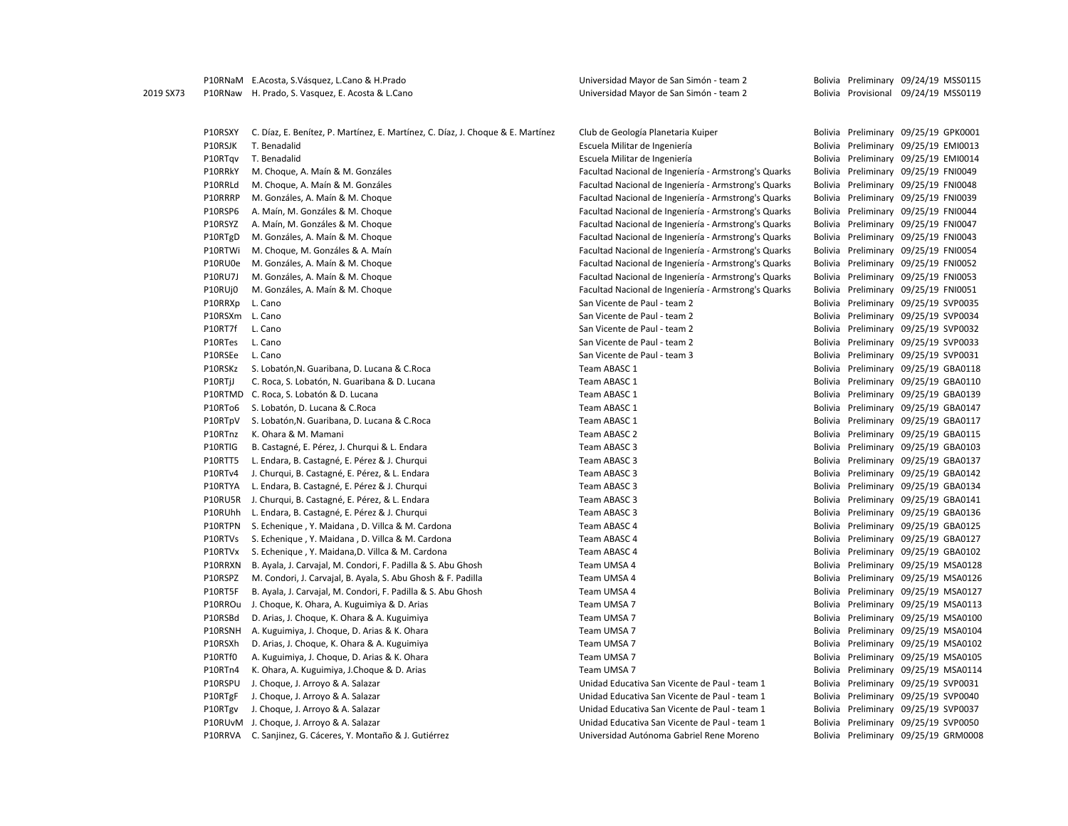| P10RSXY | C. Díaz, E. Benítez, P. Martínez, E. Martínez, C. Díaz, J. Choque & E. Martínez | Club de Geología Planetaria Kuiper                   |  | Bolivia Preliminary 09/25/19 GPK0001 |
|---------|---------------------------------------------------------------------------------|------------------------------------------------------|--|--------------------------------------|
| P10RSJK | T. Benadalid                                                                    | Escuela Militar de Ingeniería                        |  | Bolivia Preliminary 09/25/19 EMI0013 |
| P10RTqv | T. Benadalid                                                                    | Escuela Militar de Ingeniería                        |  | Bolivia Preliminary 09/25/19 EMI0014 |
| P10RRkY | M. Choque, A. Maín & M. Gonzáles                                                | Facultad Nacional de Ingeniería - Armstrong's Quarks |  | Bolivia Preliminary 09/25/19 FNI0049 |
| P10RRLd | M. Choque, A. Maín & M. Gonzáles                                                | Facultad Nacional de Ingeniería - Armstrong's Quarks |  | Bolivia Preliminary 09/25/19 FNI0048 |
| P10RRRP | M. Gonzáles, A. Maín & M. Choque                                                | Facultad Nacional de Ingeniería - Armstrong's Quarks |  | Bolivia Preliminary 09/25/19 FNI0039 |
| P10RSP6 | A. Maín, M. Gonzáles & M. Choque                                                | Facultad Nacional de Ingeniería - Armstrong's Quarks |  | Bolivia Preliminary 09/25/19 FNI0044 |
| P10RSYZ | A. Maín, M. Gonzáles & M. Choque                                                | Facultad Nacional de Ingeniería - Armstrong's Quarks |  | Bolivia Preliminary 09/25/19 FNI0047 |
| P10RTgD | M. Gonzáles, A. Maín & M. Choque                                                | Facultad Nacional de Ingeniería - Armstrong's Quarks |  | Bolivia Preliminary 09/25/19 FNI0043 |
| P10RTWi | M. Choque, M. Gonzáles & A. Maín                                                | Facultad Nacional de Ingeniería - Armstrong's Quarks |  | Bolivia Preliminary 09/25/19 FNI0054 |
| P10RU0e | M. Gonzáles, A. Maín & M. Choque                                                | Facultad Nacional de Ingeniería - Armstrong's Quarks |  | Bolivia Preliminary 09/25/19 FNI0052 |
| P10RU7J | M. Gonzáles, A. Maín & M. Choque                                                | Facultad Nacional de Ingeniería - Armstrong's Quarks |  | Bolivia Preliminary 09/25/19 FNI0053 |
| P10RUj0 | M. Gonzáles, A. Maín & M. Choque                                                | Facultad Nacional de Ingeniería - Armstrong's Quarks |  | Bolivia Preliminary 09/25/19 FNI0051 |
| P10RRXp | L. Cano                                                                         | San Vicente de Paul - team 2                         |  | Bolivia Preliminary 09/25/19 SVP0035 |
| P10RSXm | L. Cano                                                                         | San Vicente de Paul - team 2                         |  | Bolivia Preliminary 09/25/19 SVP0034 |
| P10RT7f | L. Cano                                                                         | San Vicente de Paul - team 2                         |  | Bolivia Preliminary 09/25/19 SVP0032 |
| P10RTes | L. Cano                                                                         | San Vicente de Paul - team 2                         |  | Bolivia Preliminary 09/25/19 SVP0033 |
| P10RSEe | L. Cano                                                                         | San Vicente de Paul - team 3                         |  | Bolivia Preliminary 09/25/19 SVP0031 |
| P10RSKz | S. Lobatón, N. Guaribana, D. Lucana & C. Roca                                   | Team ABASC 1                                         |  | Bolivia Preliminary 09/25/19 GBA0118 |
| P10RTjJ | C. Roca, S. Lobatón, N. Guaribana & D. Lucana                                   | Team ABASC 1                                         |  | Bolivia Preliminary 09/25/19 GBA0110 |
| P10RTMD | C. Roca, S. Lobatón & D. Lucana                                                 | Team ABASC 1                                         |  | Bolivia Preliminary 09/25/19 GBA0139 |
| P10RTo6 | S. Lobatón, D. Lucana & C.Roca                                                  | Team ABASC 1                                         |  | Bolivia Preliminary 09/25/19 GBA0147 |
| P10RTpV | S. Lobatón, N. Guaribana, D. Lucana & C. Roca                                   | Team ABASC 1                                         |  | Bolivia Preliminary 09/25/19 GBA0117 |
| P10RTnz | K. Ohara & M. Mamani                                                            | Team ABASC 2                                         |  | Bolivia Preliminary 09/25/19 GBA0115 |
| P10RTIG | B. Castagné, E. Pérez, J. Churqui & L. Endara                                   | Team ABASC 3                                         |  | Bolivia Preliminary 09/25/19 GBA0103 |
| P10RTT5 | L. Endara, B. Castagné, E. Pérez & J. Churqui                                   | Team ABASC 3                                         |  | Bolivia Preliminary 09/25/19 GBA0137 |
| P10RTv4 | J. Churqui, B. Castagné, E. Pérez, & L. Endara                                  | Team ABASC 3                                         |  | Bolivia Preliminary 09/25/19 GBA0142 |
| P10RTYA | L. Endara, B. Castagné, E. Pérez & J. Churqui                                   | Team ABASC 3                                         |  | Bolivia Preliminary 09/25/19 GBA0134 |
| P10RU5R | J. Churqui, B. Castagné, E. Pérez, & L. Endara                                  | Team ABASC 3                                         |  | Bolivia Preliminary 09/25/19 GBA0141 |
| P10RUhh | L. Endara, B. Castagné, E. Pérez & J. Churqui                                   | Team ABASC 3                                         |  | Bolivia Preliminary 09/25/19 GBA0136 |
| P10RTPN | S. Echenique, Y. Maidana, D. Villca & M. Cardona                                | Team ABASC 4                                         |  | Bolivia Preliminary 09/25/19 GBA0125 |
| P10RTVs | S. Echenique, Y. Maidana, D. Villca & M. Cardona                                | Team ABASC 4                                         |  | Bolivia Preliminary 09/25/19 GBA0127 |
| P10RTVx | S. Echenique, Y. Maidana, D. Villca & M. Cardona                                | Team ABASC 4                                         |  | Bolivia Preliminary 09/25/19 GBA0102 |
| P10RRXN | B. Ayala, J. Carvajal, M. Condori, F. Padilla & S. Abu Ghosh                    | Team UMSA 4                                          |  | Bolivia Preliminary 09/25/19 MSA0128 |
| P10RSPZ | M. Condori, J. Carvajal, B. Ayala, S. Abu Ghosh & F. Padilla                    | Team UMSA 4                                          |  | Bolivia Preliminary 09/25/19 MSA0126 |
| P10RT5F | B. Ayala, J. Carvajal, M. Condori, F. Padilla & S. Abu Ghosh                    | Team UMSA 4                                          |  | Bolivia Preliminary 09/25/19 MSA0127 |
| P10RROu | J. Choque, K. Ohara, A. Kuguimiya & D. Arias                                    | Team UMSA 7                                          |  | Bolivia Preliminary 09/25/19 MSA0113 |
| P10RSBd | D. Arias, J. Choque, K. Ohara & A. Kuguimiya                                    | Team UMSA 7                                          |  | Bolivia Preliminary 09/25/19 MSA0100 |
| P10RSNH | A. Kuguimiya, J. Choque, D. Arias & K. Ohara                                    | Team UMSA 7                                          |  | Bolivia Preliminary 09/25/19 MSA0104 |
| P10RSXh | D. Arias, J. Choque, K. Ohara & A. Kuguimiya                                    | Team UMSA 7                                          |  | Bolivia Preliminary 09/25/19 MSA0102 |
| P10RTf0 | A. Kuguimiya, J. Choque, D. Arias & K. Ohara                                    | Team UMSA 7                                          |  | Bolivia Preliminary 09/25/19 MSA0105 |
| P10RTn4 | K. Ohara, A. Kuguimiya, J.Choque & D. Arias                                     | Team UMSA 7                                          |  | Bolivia Preliminary 09/25/19 MSA0114 |
| P10RSPU | J. Choque, J. Arroyo & A. Salazar                                               | Unidad Educativa San Vicente de Paul - team 1        |  | Bolivia Preliminary 09/25/19 SVP0031 |
| P10RTgF | J. Choque, J. Arroyo & A. Salazar                                               | Unidad Educativa San Vicente de Paul - team 1        |  | Bolivia Preliminary 09/25/19 SVP0040 |
| P10RTgv | J. Choque, J. Arroyo & A. Salazar                                               | Unidad Educativa San Vicente de Paul - team 1        |  | Bolivia Preliminary 09/25/19 SVP0037 |
|         | P10RUvM J. Choque, J. Arroyo & A. Salazar                                       | Unidad Educativa San Vicente de Paul - team 1        |  | Bolivia Preliminary 09/25/19 SVP0050 |
|         | P10RRVA C. Sanjinez, G. Cáceres, Y. Montaño & J. Gutiérrez                      | Universidad Autónoma Gabriel Rene Moreno             |  | Bolivia Preliminary 09/25/19 GRM0008 |
|         |                                                                                 |                                                      |  |                                      |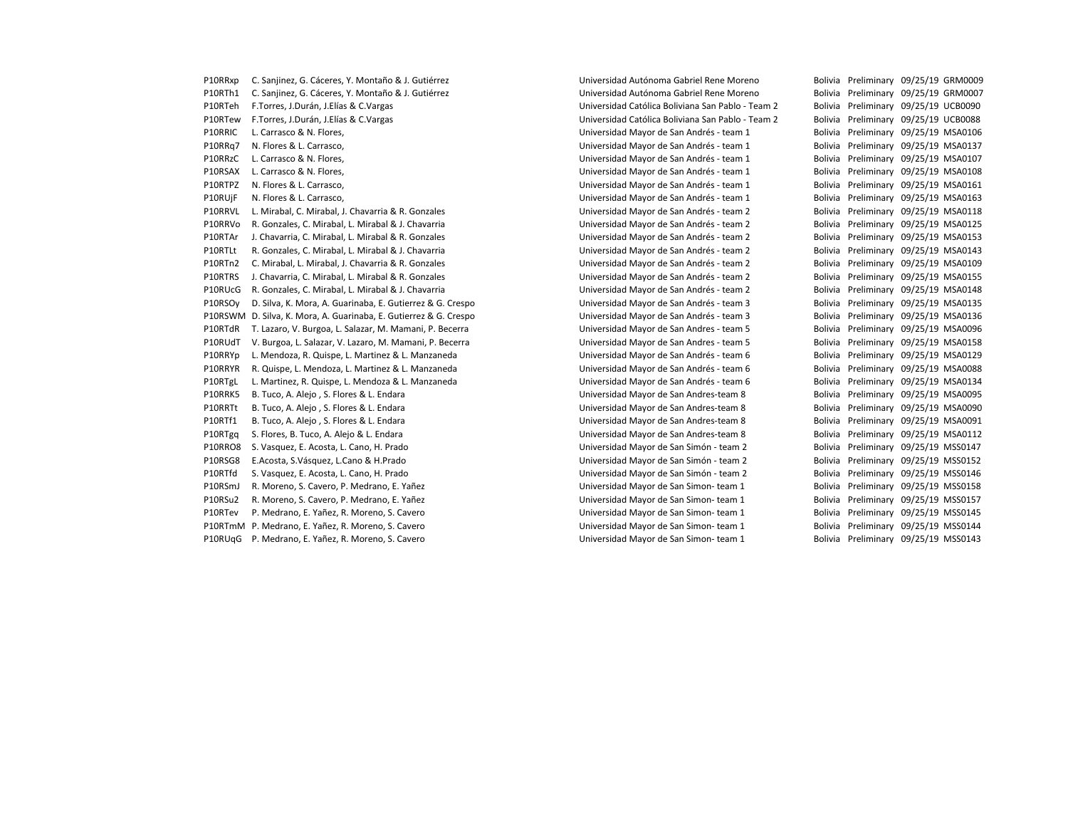P10RRxp C. Sanjinez, G. Cáceres, Y. Montaño & J. Gutiérrez Universidad Autónoma Gabriel Rene Moreno Bolivia Preliminary 09/25/19 GRM0009 P10RTh1 C. Sanjinez, G. Cáceres, Y. Montaño & J. Gutiérrez Universidad Autónoma Gabriel Rene Moreno Bolivia Preliminary 09/25/19 GRM0007 P10RTeh F.Torres, J.Durán, J.Elías & C.Vargas 
universidad Católica Boliviana San Pablo - Team 2 Bolivia Preliminary 09/25/19 UCB0090 P10RTew F.Torres, J.Durán, J.Elías & C.Vargas 
universidad Católica Boliviana San Pablo - Team 2 Bolivia Preliminary 09/25/19 UCB0088 P10RRIC L. Carrasco & N. Flores, Universidad Mayor de San Andrés - team 1 Bolivia Preliminary 09/25/19 MSA0106 P10RRq7 N. Flores & L. Carrasco, entroprior entroprior de San Andrés - team 1 Bolivia Preliminary 09/25/19 MSA0137 P10RRzC L. Carrasco & N. Flores, etc. Whiters and Mayor de San Andrés - team 1 Bolivia Preliminary 09/25/19 MSA0107 P10RSAX L. Carrasco & N. Flores, etc. Whiters and Mayor de San Andrés - team 1 Bolivia Preliminary 09/25/19 MSA0108 P10RTPZ N. Flores & L. Carrasco, Universidad Mayor de San Andrés - team 1 Bolivia Preliminary 09/25/19 MSA0161 P10RUjF N. Flores & L. Carrasco, Universidad Mayor de San Andrés - team 1 Bolivia Preliminary 09/25/19 MSA0163 P10RRVL L. Mirabal, C. Mirabal, J. Chavarria & R. Gonzales Universidad Mayor de San Andrés - team 2 Bolivia Preliminary 09/25/19 MSA0118 P10RRVo R. Gonzales, C. Mirabal, L. Mirabal & J. Chavarria enterribation and the Universidad Mayor de San Andrés - team 2 Bolivia Preliminary 09/25/19 MSA0125 P10RTAr J. Chavarria, C. Mirabal, L. Mirabal & R. Gonzales Universidad Mayor de San Andrés - team 2 Bolivia Preliminary 09/25/19 MSA0153 P10RTLt R. Gonzales, C. Mirabal, L. Mirabal & J. Chavarria entertional control de San Andrés - team 2 Bolivia Preliminary 09/25/19 MSA0143 P10RTn2 C. Mirabal, L. Mirabal, J. Chavarria & R. Gonzales Universidad Mayor de San Andrés - team 2 Bolivia Preliminary 09/25/19 MSA0109 P10RTRS J. Chavarria, C. Mirabal, L. Mirabal & R. Gonzales Universidad Mayor de San Andrés - team 2 Bolivia Preliminary 09/25/19 MSA0155 P10RUcG R. Gonzales, C. Mirabal, L. Mirabal & J. Chavarria enterrial control de San Andrés - team 2 Bolivia Preliminary 09/25/19 MSA0148 P10RSOy D. Silva, K. Mora, A. Guarinaba, E. Gutierrez & G. Crespo Universidad Mayor de San Andrés - team 3 Bolivia Preliminary 09/25/19 MSA0135 P10RSWM D. Silva, K. Mora, A. Guarinaba, E. Gutierrez & G. Crespo entropy buniversidad Mayor de San Andrés - team 3 Bolivia Preliminary 09/25/19 MSA0136 P10RTdR T. Lazaro, V. Burgoa, L. Salazar, M. Mamani, P. Becerra **Netical Standard Mayor de San Andres - team 5** Bolivia Preliminary 09/25/19 MSA0096 P10RUdT V. Burgoa, L. Salazar, V. Lazaro, M. Mamani, P. Becerra **New State Andres - team 5** Bolivia Preliminary 09/25/19 MSA0158 P10RRYp L. Mendoza, R. Quispe, L. Martinez & L. Manzaneda Universidad Mayor de San Andrés - team 6 Bolivia Preliminary 09/25/19 MSA0129 P10RRYR R. Quispe, L. Mendoza, L. Martinez & L. Manzaneda Universidad Mayor de San Andrés - team 6 Bolivia Preliminary 09/25/19 MSA0088 P10RTgL L. Martinez, R. Quispe, L. Mendoza & L. Manzaneda Universidad Mayor de San Andrés - team 6 Bolivia Preliminary 09/25/19 MSA0134 P10RRK5 B. Tuco, A. Alejo , S. Flores & L. Endara North Mayor de San Andres-team 8 Bolivia Preliminary 09/25/19 MSA0095 P10RRTt B. Tuco, A. Alejo , S. Flores & L. Endara Number 10 10 and How Mayor de San Andres-team 8 Bolivia Preliminary 09/25/19 MSA0090 P10RTf1 B. Tuco, A. Alejo , S. Flores & L. Endara 
BALE CHANGE CHANGE CONSIDERAT CONSIDERAT And The STATE CONSIDERAT AND THE CONSIDERAT CONSIDERAT CONSTRAINING A LATE OF A LATE CONSIDERAT CONSIDERAT CONSIDERAT A LATE CONSI P10RTgq S. Flores, B. Tuco, A. Alejo & L. Endara 
perceptibution of the Universidad Mayor de San Andres-team 8 Bolivia Preliminary 09/25/19 MSA0112 P10RRO8 S. Vasquez, E. Acosta, L. Cano, H. Prado Universidad Mayor de San Simón - team 2 Bolivia Preliminary 09/25/19 MSS0147 P10RSG8 E.Acosta, S.Vásquez, L.Cano & H.Prado Universidad Mayor de San Simón - team 2 Bolivia Preliminary 09/25/19 MSS0152 P10RTfd S. Vasquez, E. Acosta, L. Cano, H. Prado Universidad Mayor de San Simón - team 2 Bolivia Preliminary 09/25/19 MSS0146 P10RSmJ R. Moreno, S. Cavero, P. Medrano, E. Yañez Universidad Mayor de San Simon- team 1 Bolivia Preliminary 09/25/19 MSS0158 P10RSu2 R. Moreno, S. Cavero, P. Medrano, E. Yañez Walles Mayor de San Simon- team 1 Bolivia Preliminary 09/25/19 MSS0157 P10RTev P. Medrano, E. Yañez, R. Moreno, S. Cavero Universidad Mayor de San Simon- team 1 Bolivia Preliminary 09/25/19 MSS0145 P10RTmM P. Medrano, E. Yañez, R. Moreno, S. Cavero Universidad Mayor de San Simon- team 1 Bolivia Preliminary 09/25/19 MSS0144 P10RUqG P. Medrano, E. Yañez, R. Moreno, S. Cavero **B. Equation Standard Mayor de San Simon-** team 1 Bolivia Preliminary 09/25/19 MSS0143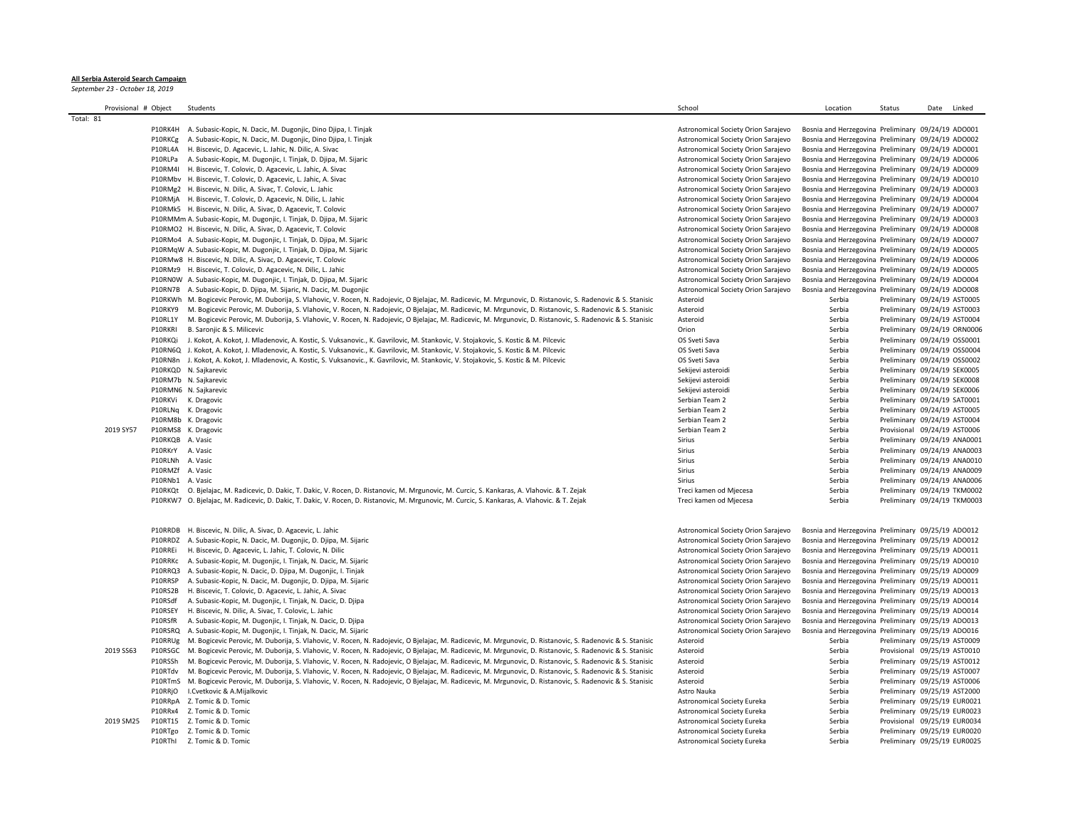|  |  | All Serbia Asteroid Search Campaig |
|--|--|------------------------------------|
|  |  |                                    |

**All Serbia Asteroid Search Campaign** *September 23 - October 18, 2019*

| Provisional # Object |                  | Students                                                                                                                                                          | School                              | Location                                           | Status                       | Date | Linked |
|----------------------|------------------|-------------------------------------------------------------------------------------------------------------------------------------------------------------------|-------------------------------------|----------------------------------------------------|------------------------------|------|--------|
| Total: 81            |                  |                                                                                                                                                                   |                                     |                                                    |                              |      |        |
|                      |                  | P10RK4H A. Subasic-Kopic, N. Dacic, M. Dugonjic, Dino Djipa, I. Tinjak                                                                                            | Astronomical Society Orion Sarajevo | Bosnia and Herzegovina Preliminary 09/24/19 ADO001 |                              |      |        |
|                      | P10RKCg          | A. Subasic-Kopic, N. Dacic, M. Dugonjic, Dino Djipa, I. Tinjak                                                                                                    | Astronomical Society Orion Sarajevo | Bosnia and Herzegovina Preliminary 09/24/19 ADO002 |                              |      |        |
|                      | P10RL4A          | H. Biscevic, D. Agacevic, L. Jahic, N. Dilic, A. Sivac                                                                                                            | Astronomical Society Orion Sarajevo | Bosnia and Herzegovina Preliminary 09/24/19 ADO001 |                              |      |        |
|                      | P10RLPa          | A. Subasic-Kopic, M. Dugonjic, I. Tinjak, D. Djipa, M. Sijaric                                                                                                    | Astronomical Society Orion Sarajevo | Bosnia and Herzegovina Preliminary 09/24/19 ADO006 |                              |      |        |
|                      |                  |                                                                                                                                                                   |                                     |                                                    |                              |      |        |
|                      |                  | P10RM4I H. Biscevic, T. Colovic, D. Agacevic, L. Jahic, A. Sivac                                                                                                  | Astronomical Society Orion Sarajevo | Bosnia and Herzegovina Preliminary 09/24/19 ADO009 |                              |      |        |
|                      |                  | P10RMbv H. Biscevic, T. Colovic, D. Agacevic, L. Jahic, A. Sivac                                                                                                  | Astronomical Society Orion Sarajevo | Bosnia and Herzegovina Preliminary 09/24/19 ADO010 |                              |      |        |
|                      |                  | P10RMg2 H. Biscevic, N. Dilic, A. Sivac, T. Colovic, L. Jahic                                                                                                     | Astronomical Society Orion Sarajevo | Bosnia and Herzegovina Preliminary 09/24/19 ADO003 |                              |      |        |
|                      |                  | P10RMjA H. Biscevic, T. Colovic, D. Agacevic, N. Dilic, L. Jahic                                                                                                  | Astronomical Society Orion Sarajevo | Bosnia and Herzegovina Preliminary 09/24/19 ADO004 |                              |      |        |
|                      |                  | P10RMk5 H. Biscevic, N. Dilic, A. Sivac, D. Agacevic, T. Colovic                                                                                                  | Astronomical Society Orion Sarajevo | Bosnia and Herzegovina Preliminary 09/24/19 ADO007 |                              |      |        |
|                      |                  | P10RMMm A. Subasic-Kopic, M. Dugonjic, I. Tinjak, D. Djipa, M. Sijaric                                                                                            | Astronomical Society Orion Sarajevo | Bosnia and Herzegovina Preliminary 09/24/19 ADO003 |                              |      |        |
|                      |                  | P10RMO2 H. Biscevic, N. Dilic, A. Sivac, D. Agacevic, T. Colovic                                                                                                  | Astronomical Society Orion Sarajevo | Bosnia and Herzegovina Preliminary 09/24/19 ADO008 |                              |      |        |
|                      |                  | P10RMo4 A. Subasic-Kopic, M. Dugonjic, I. Tinjak, D. Djipa, M. Sijaric                                                                                            | Astronomical Society Orion Sarajevo | Bosnia and Herzegovina Preliminary 09/24/19 ADO007 |                              |      |        |
|                      |                  |                                                                                                                                                                   |                                     |                                                    |                              |      |        |
|                      |                  | P10RMqW A. Subasic-Kopic, M. Dugonjic, I. Tinjak, D. Djipa, M. Sijaric                                                                                            | Astronomical Society Orion Sarajevo | Bosnia and Herzegovina Preliminary 09/24/19 ADO005 |                              |      |        |
|                      |                  | P10RMw8 H. Biscevic, N. Dilic, A. Sivac, D. Agacevic, T. Colovic                                                                                                  | Astronomical Society Orion Sarajevo | Bosnia and Herzegovina Preliminary 09/24/19 ADO006 |                              |      |        |
|                      |                  | P10RMz9 H. Biscevic, T. Colovic, D. Agacevic, N. Dilic, L. Jahic                                                                                                  | Astronomical Society Orion Sarajevo | Bosnia and Herzegovina Preliminary 09/24/19 ADO005 |                              |      |        |
|                      |                  | P10RN0W A. Subasic-Kopic, M. Dugonjic, I. Tinjak, D. Djipa, M. Sijaric                                                                                            | Astronomical Society Orion Sarajevo | Bosnia and Herzegovina Preliminary 09/24/19 ADO004 |                              |      |        |
|                      |                  | P10RN7B A. Subasic-Kopic, D. Djipa, M. Sijaric, N. Dacic, M. Dugonjic                                                                                             | Astronomical Society Orion Sarajevo | Bosnia and Herzegovina Preliminary 09/24/19 ADO008 |                              |      |        |
|                      |                  | P10RKWh M. Bogicevic Perovic, M. Duborija, S. Vlahovic, V. Rocen, N. Radojevic, O Bjelajac, M. Radicevic, M. Mrgunovic, D. Ristanovic, S. Radenovic & S. Stanisic | Asteroid                            | Serbia                                             | Preliminary 09/24/19 AST0005 |      |        |
|                      |                  | P10RKY9 M. Bogicevic Perovic, M. Duborija, S. Vlahovic, V. Rocen, N. Radojevic, O Bjelajac, M. Radicevic, M. Mrgunovic, D. Ristanovic, S. Radenovic & S. Stanisic | Asteroid                            | Serbia                                             | Preliminary 09/24/19 AST0003 |      |        |
|                      | P10RL1Y          | M. Bogicevic Perovic, M. Duborija, S. Vlahovic, V. Rocen, N. Radojevic, O Bjelajac, M. Radicevic, M. Mrgunovic, D. Ristanovic, S. Radenovic & S. Stanisic         | Asteroid                            | Serbia                                             | Preliminary 09/24/19 AST0004 |      |        |
|                      | P10RKRI          | B. Saronjic & S. Milicevic                                                                                                                                        | Orion                               | Serbia                                             | Preliminary 09/24/19 ORN0006 |      |        |
|                      |                  |                                                                                                                                                                   |                                     |                                                    |                              |      |        |
|                      | P10RKQi          | J. Kokot, A. Kokot, J. Mladenovic, A. Kostic, S. Vuksanovic., K. Gavrilovic, M. Stankovic, V. Stojakovic, S. Kostic & M. Pilcevic                                 | OS Sveti Sava                       | Serbia                                             | Preliminary 09/24/19 OSS0001 |      |        |
|                      |                  | P10RN6Q J. Kokot, A. Kokot, J. Mladenovic, A. Kostic, S. Vuksanovic., K. Gavrilovic, M. Stankovic, V. Stojakovic, S. Kostic & M. Pilcevic                         | OS Sveti Sava                       | Serbia                                             | Preliminary 09/24/19 OSS0004 |      |        |
|                      |                  | P10RN8n J. Kokot, A. Kokot, J. Mladenovic, A. Kostic, S. Vuksanovic., K. Gavrilovic, M. Stankovic, V. Stojakovic, S. Kostic & M. Pilcevic                         | OS Sveti Sava                       | Serbia                                             | Preliminary 09/24/19 OSS0002 |      |        |
|                      |                  | P10RKQD N. Sajkarevic                                                                                                                                             | Sekijevi asteroidi                  | Serbia                                             | Preliminary 09/24/19 SEK0005 |      |        |
|                      |                  | P10RM7b N. Sajkarevic                                                                                                                                             | Sekijevi asteroidi                  | Serbia                                             | Preliminary 09/24/19 SEK0008 |      |        |
|                      |                  | P10RMN6 N. Sajkarevic                                                                                                                                             | Sekijevi asteroidi                  | Serbia                                             | Preliminary 09/24/19 SEK0006 |      |        |
|                      |                  | P10RKVi K. Dragovic                                                                                                                                               | Serbian Team 2                      | Serbia                                             | Preliminary 09/24/19 SAT0001 |      |        |
|                      |                  | P10RLNq K. Dragovic                                                                                                                                               | Serbian Team 2                      | Serbia                                             | Preliminary 09/24/19 AST0005 |      |        |
|                      |                  | P10RM8b K. Dragovic                                                                                                                                               | Serbian Team 2                      | Serbia                                             | Preliminary 09/24/19 AST0004 |      |        |
|                      |                  |                                                                                                                                                                   |                                     |                                                    |                              |      |        |
| 2019 SY57            |                  | P10RMS8 K. Dragovic                                                                                                                                               | Serbian Team 2                      | Serbia                                             | Provisional 09/24/19 AST0006 |      |        |
|                      | P10RKQB          | A. Vasic                                                                                                                                                          | Sirius                              | Serbia                                             | Preliminary 09/24/19 ANA0001 |      |        |
|                      | P10RKrY          | A. Vasic                                                                                                                                                          | <b>Sirius</b>                       | Serbia                                             | Preliminary 09/24/19 ANA0003 |      |        |
|                      | P10RLNh A. Vasic |                                                                                                                                                                   | Sirius                              | Serbia                                             | Preliminary 09/24/19 ANA0010 |      |        |
|                      | P10RMZf A. Vasic |                                                                                                                                                                   | Sirius                              | Serbia                                             | Preliminary 09/24/19 ANA0009 |      |        |
|                      | P10RNb1 A. Vasic |                                                                                                                                                                   | Sirius                              | Serbia                                             | Preliminary 09/24/19 ANA0006 |      |        |
|                      |                  | P10RKQt O. Bjelajac, M. Radicevic, D. Dakic, T. Dakic, V. Rocen, D. Ristanovic, M. Mrgunovic, M. Curcic, S. Kankaras, A. Vlahovic. & T. Zejak                     | Treci kamen od Mjecesa              | Serbia                                             | Preliminary 09/24/19 TKM0002 |      |        |
|                      | P10RKW7          | O. Bjelajac, M. Radicevic, D. Dakic, T. Dakic, V. Rocen, D. Ristanovic, M. Mrgunovic, M. Curcic, S. Kankaras, A. Vlahovic. & T. Zejak                             | Treci kamen od Mjecesa              | Serbia                                             | Preliminary 09/24/19 TKM0003 |      |        |
|                      |                  |                                                                                                                                                                   |                                     |                                                    |                              |      |        |
|                      |                  | P10RRDB H. Biscevic, N. Dilic, A. Sivac, D. Agacevic, L. Jahic                                                                                                    | Astronomical Society Orion Sarajevo | Bosnia and Herzegovina Preliminary 09/25/19 ADO012 |                              |      |        |
|                      |                  | P10RRDZ A. Subasic-Kopic, N. Dacic, M. Dugonjic, D. Djipa, M. Sijaric                                                                                             | Astronomical Society Orion Sarajevo | Bosnia and Herzegovina Preliminary 09/25/19 ADO012 |                              |      |        |
|                      | P10RREi          | H. Biscevic, D. Agacevic, L. Jahic, T. Colovic, N. Dilic                                                                                                          | Astronomical Society Orion Sarajevo | Bosnia and Herzegovina Preliminary 09/25/19 ADO011 |                              |      |        |
|                      |                  |                                                                                                                                                                   |                                     |                                                    |                              |      |        |
|                      |                  | P10RRKc A. Subasic-Kopic, M. Dugonjic, I. Tinjak, N. Dacic, M. Sijaric                                                                                            | Astronomical Society Orion Sarajevo | Bosnia and Herzegovina Preliminary 09/25/19 ADO010 |                              |      |        |
|                      |                  | P10RRQ3 A. Subasic-Kopic, N. Dacic, D. Djipa, M. Dugonjic, I. Tinjak                                                                                              | Astronomical Society Orion Sarajevo | Bosnia and Herzegovina Preliminary 09/25/19 ADO009 |                              |      |        |
|                      | P10RRSP          | A. Subasic-Kopic, N. Dacic, M. Dugonjic, D. Djipa, M. Sijaric                                                                                                     | Astronomical Society Orion Sarajevo | Bosnia and Herzegovina Preliminary 09/25/19 ADO011 |                              |      |        |
|                      | P10RS2B          | H. Biscevic, T. Colovic, D. Agacevic, L. Jahic, A. Sivac                                                                                                          | Astronomical Society Orion Sarajevo | Bosnia and Herzegovina Preliminary 09/25/19 ADO013 |                              |      |        |
|                      | P10RSdf          | A. Subasic-Kopic, M. Dugonjic, I. Tinjak, N. Dacic, D. Djipa                                                                                                      | Astronomical Society Orion Sarajevo | Bosnia and Herzegovina Preliminary 09/25/19 ADO014 |                              |      |        |
|                      | P10RSEY          | H. Biscevic, N. Dilic, A. Sivac, T. Colovic, L. Jahic                                                                                                             | Astronomical Society Orion Sarajevo | Bosnia and Herzegovina Preliminary 09/25/19 ADO014 |                              |      |        |
|                      | P10RSfR          | A. Subasic-Kopic, M. Dugonjic, I. Tinjak, N. Dacic, D. Djipa                                                                                                      | Astronomical Society Orion Sarajevo | Bosnia and Herzegovina Preliminary 09/25/19 ADO013 |                              |      |        |
|                      |                  | P10RSRQ A. Subasic-Kopic, M. Dugonjic, I. Tinjak, N. Dacic, M. Sijaric                                                                                            | Astronomical Society Orion Sarajevo | Bosnia and Herzegovina Preliminary 09/25/19 ADO016 |                              |      |        |
|                      | P10RRUg          | M. Bogicevic Perovic, M. Duborija, S. Vlahovic, V. Rocen, N. Radojevic, O Bjelajac, M. Radicevic, M. Mrgunovic, D. Ristanovic, S. Radenovic & S. Stanisic         | Asteroid                            | Serbia                                             | Preliminary 09/25/19 AST0009 |      |        |
| 2019 SS63            |                  |                                                                                                                                                                   |                                     | Serbia                                             |                              |      |        |
|                      |                  | P10RSGC M. Bogicevic Perovic, M. Duborija, S. Vlahovic, V. Rocen, N. Radojevic, O Bjelajac, M. Radicevic, M. Mrgunovic, D. Ristanovic, S. Radenovic & S. Stanisic | Asteroid                            |                                                    | Provisional 09/25/19 AST0010 |      |        |
|                      | P10RSSh          | M. Bogicevic Perovic, M. Duborija, S. Vlahovic, V. Rocen, N. Radojevic, O Bjelajac, M. Radicevic, M. Mrgunovic, D. Ristanovic, S. Radenovic & S. Stanisic         | Asteroid                            | Serbia                                             | Preliminary 09/25/19 AST0012 |      |        |
|                      | P10RTdv          | M. Bogicevic Perovic, M. Duborija, S. Vlahovic, V. Rocen, N. Radojevic, O Bjelajac, M. Radicevic, M. Mrgunovic, D. Ristanovic, S. Radenovic & S. Stanisic         | Asteroid                            | Serbia                                             | Preliminary 09/25/19 AST0007 |      |        |
|                      |                  | P10RTmS M. Bogicevic Perovic, M. Duborija, S. Vlahovic, V. Rocen, N. Radojevic, O Bjelajac, M. Radicevic, M. Mrgunovic, D. Ristanovic, S. Radenovic & S. Stanisic | Asteroid                            | Serbia                                             | Preliminary 09/25/19 AST0006 |      |        |
|                      | P10RRjO          | I.Cvetkovic & A.Mijalkovic                                                                                                                                        | Astro Nauka                         | Serbia                                             | Preliminary 09/25/19 AST2000 |      |        |
|                      |                  | P10RRpA Z. Tomic & D. Tomic                                                                                                                                       | <b>Astronomical Society Eureka</b>  | Serbia                                             | Preliminary 09/25/19 EUR0021 |      |        |
|                      |                  | P10RRx4 Z. Tomic & D. Tomic                                                                                                                                       | <b>Astronomical Society Eureka</b>  | Serbia                                             | Preliminary 09/25/19 EUR0023 |      |        |
| 2019 SM25            |                  | P10RT15 Z. Tomic & D. Tomic                                                                                                                                       | Astronomical Society Eureka         | Serbia                                             | Provisional 09/25/19 EUR0034 |      |        |
|                      |                  | P10RTgo Z. Tomic & D. Tomic                                                                                                                                       | Astronomical Society Eureka         | Serbia                                             | Preliminary 09/25/19 EUR0020 |      |        |
|                      |                  |                                                                                                                                                                   |                                     |                                                    |                              |      |        |
|                      |                  | P10RThI Z. Tomic & D. Tomic                                                                                                                                       | Astronomical Society Eureka         | Serbia                                             | Preliminary 09/25/19 EUR0025 |      |        |
|                      |                  |                                                                                                                                                                   |                                     |                                                    |                              |      |        |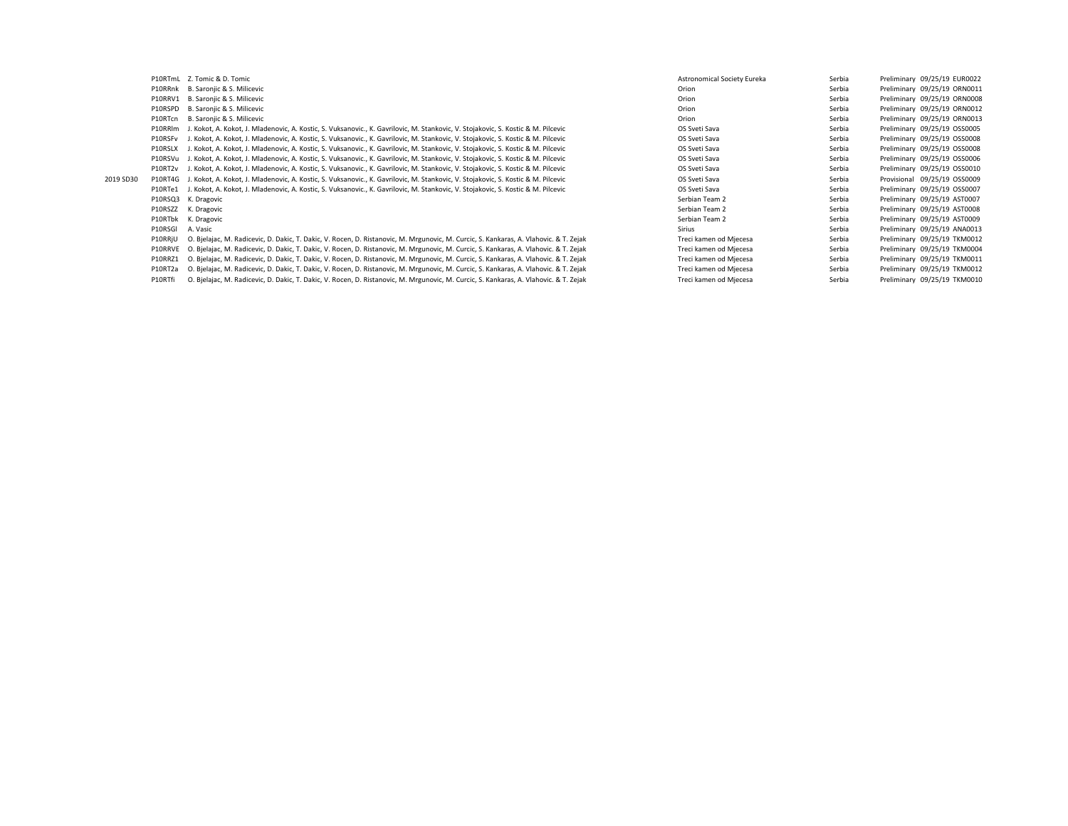|           |         | P10RTmL Z. Tomic & D. Tomic                                                                                                           | <b>Astronomical Society Eureka</b> | Serbia | Preliminary 09/25/19 EUR0022 |
|-----------|---------|---------------------------------------------------------------------------------------------------------------------------------------|------------------------------------|--------|------------------------------|
|           |         | P10RRnk B. Saronjic & S. Milicevic                                                                                                    | Orion                              | Serbia | Preliminary 09/25/19 ORN0011 |
|           | P10RRV1 | B. Saronjic & S. Milicevic                                                                                                            | Orion                              | Serbia | Preliminary 09/25/19 ORN0008 |
|           | P10RSPD | B. Saronjic & S. Milicevic                                                                                                            | Orion                              | Serbia | Preliminary 09/25/19 ORN0012 |
|           | P10RTcn | B. Saronjic & S. Milicevic                                                                                                            | Orion                              | Serbia | Preliminary 09/25/19 ORN0013 |
|           | P10RRIm | J. Kokot, A. Kokot, J. Mladenovic, A. Kostic, S. Vuksanovic., K. Gavrilovic, M. Stankovic, V. Stojakovic, S. Kostic & M. Pilcevic     | OS Sveti Sava                      | Serbia | Preliminary 09/25/19 OSS0005 |
|           | P10RSFv | J. Kokot, A. Kokot, J. Mladenovic, A. Kostic, S. Vuksanovic., K. Gavrilovic, M. Stankovic, V. Stojakovic, S. Kostic & M. Pilcevic     | OS Sveti Sava                      | Serbia | Preliminary 09/25/19 OSS0008 |
|           | P10RSLX | . Kokot, A. Kokot, J. Mladenovic, A. Kostic, S. Vuksanovic., K. Gavrilovic, M. Stankovic, V. Stojakovic, S. Kostic & M. Pilcevic      | OS Sveti Sava                      | Serbia | Preliminary 09/25/19 OSS0008 |
|           | P10RSVu | J. Kokot, A. Kokot, J. Mladenovic, A. Kostic, S. Vuksanovic., K. Gavrilovic, M. Stankovic, V. Stojakovic, S. Kostic & M. Pilcevic     | OS Sveti Sava                      | Serbia | Preliminary 09/25/19 OSS0006 |
|           | P10RT2v | J. Kokot, A. Kokot, J. Mladenovic, A. Kostic, S. Vuksanovic., K. Gavrilovic, M. Stankovic, V. Stojakovic, S. Kostic & M. Pilcevic     | OS Sveti Sava                      | Serbia | Preliminary 09/25/19 OSS0010 |
| 2019 SD30 | P10RT4G | J. Kokot, A. Kokot, J. Mladenovic, A. Kostic, S. Vuksanovic., K. Gavrilovic, M. Stankovic, V. Stojakovic, S. Kostic & M. Pilcevic     | OS Sveti Sava                      | Serbia | Provisional 09/25/19 OSS0009 |
|           | P10RTe1 | J. Kokot, A. Kokot, J. Mladenovic, A. Kostic, S. Vuksanovic., K. Gavrilovic, M. Stankovic, V. Stojakovic, S. Kostic & M. Pilcevic     | OS Sveti Sava                      | Serbia | Preliminary 09/25/19 OSS0007 |
|           | P10RSQ3 | K. Dragovic                                                                                                                           | Serbian Team 2                     | Serbia | Preliminary 09/25/19 AST0007 |
|           | P10RSZZ | K. Dragovic                                                                                                                           | Serbian Team 2                     | Serbia | Preliminary 09/25/19 AST0008 |
|           | P10RTbk | K. Dragovic                                                                                                                           | Serbian Team 2                     | Serbia | Preliminary 09/25/19 AST0009 |
|           | P10RSGI | A. Vasic                                                                                                                              | Sirius                             | Serbia | Preliminary 09/25/19 ANA0013 |
|           | P10RRjU | O. Bielajac, M. Radicevic, D. Dakic, T. Dakic, V. Rocen, D. Ristanovic, M. Mrgunovic, M. Curcic, S. Kankaras, A. Vlahovic. & T. Zejak | Treci kamen od Mjecesa             | Serbia | Preliminary 09/25/19 TKM0012 |
|           | P10RRVE | O. Bielajac, M. Radicevic, D. Dakic, T. Dakic, V. Rocen, D. Ristanovic, M. Mrgunovic, M. Curcic, S. Kankaras, A. Vlahovic. & T. Zejak | Treci kamen od Mjecesa             | Serbia | Preliminary 09/25/19 TKM0004 |
|           | P10RRZ1 | O. Bielajac, M. Radicevic, D. Dakic, T. Dakic, V. Rocen, D. Ristanovic, M. Mrgunovic, M. Curcic, S. Kankaras, A. Vlahovic. & T. Zejak | Treci kamen od Mjecesa             | Serbia | Preliminary 09/25/19 TKM0011 |
|           | P10RT2a | O. Bjelajac, M. Radicevic, D. Dakic, T. Dakic, V. Rocen, D. Ristanovic, M. Mrgunovic, M. Curcic, S. Kankaras, A. Vlahovic. & T. Zejak | Treci kamen od Mjecesa             | Serbia | Preliminary 09/25/19 TKM0012 |
|           | P10RTfi | O. Bjelajac, M. Radicevic, D. Dakic, T. Dakic, V. Rocen, D. Ristanovic, M. Mrgunovic, M. Curcic, S. Kankaras, A. Vlahovic. & T. Zejak | Treci kamen od Mjecesa             | Serbia | Preliminary 09/25/19 TKM0010 |
|           |         |                                                                                                                                       |                                    |        |                              |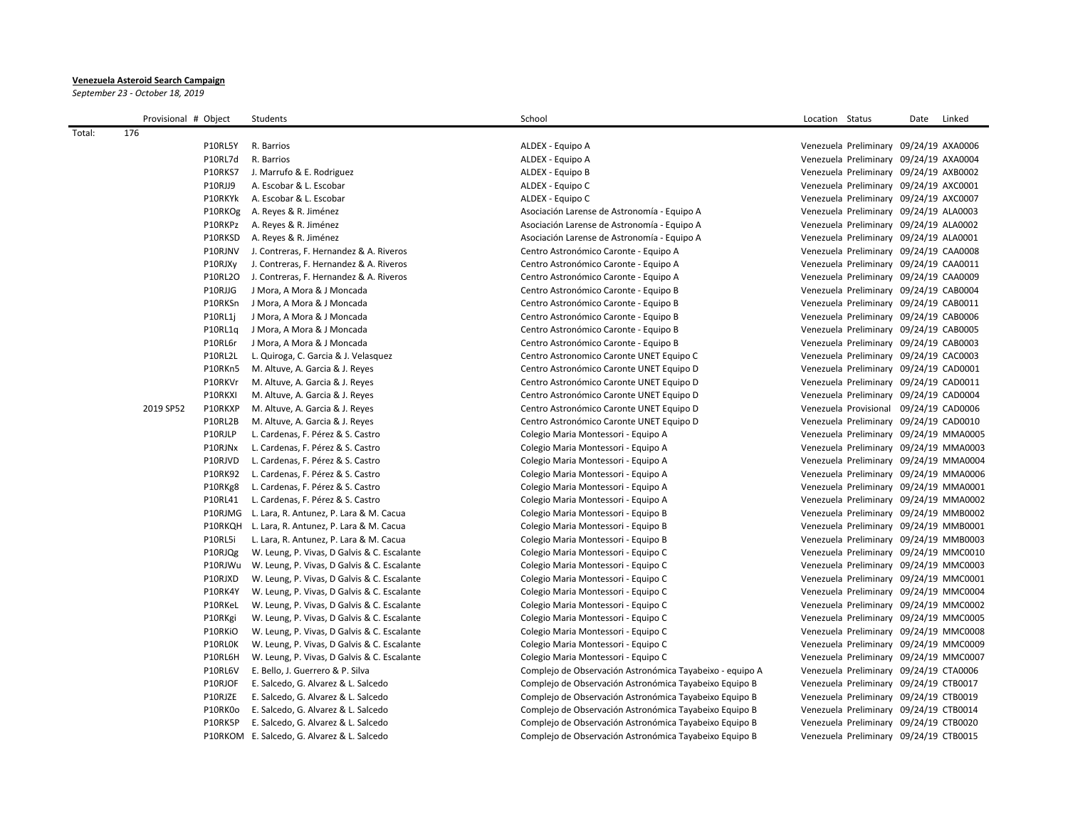## **Venezuela Asteroid Search Campaign**

*September 23 - October 18, 2019*

|        | Provisional # Object |         | Students                                        | School                                                   | Location Status |                                        | Date | Linked |
|--------|----------------------|---------|-------------------------------------------------|----------------------------------------------------------|-----------------|----------------------------------------|------|--------|
| Total: | 176                  |         |                                                 |                                                          |                 |                                        |      |        |
|        |                      | P10RL5Y | R. Barrios                                      | ALDEX - Equipo A                                         |                 | Venezuela Preliminary 09/24/19 AXA0006 |      |        |
|        |                      | P10RL7d | R. Barrios                                      | ALDEX - Equipo A                                         |                 | Venezuela Preliminary 09/24/19 AXA0004 |      |        |
|        |                      | P10RKS7 | J. Marrufo & E. Rodriguez                       | ALDEX - Equipo B                                         |                 | Venezuela Preliminary 09/24/19 AXB0002 |      |        |
|        |                      | P10RJJ9 | A. Escobar & L. Escobar                         | ALDEX - Equipo C                                         |                 | Venezuela Preliminary 09/24/19 AXC0001 |      |        |
|        |                      | P10RKYk | A. Escobar & L. Escobar                         | ALDEX - Equipo C                                         |                 | Venezuela Preliminary 09/24/19 AXC0007 |      |        |
|        |                      | P10RKOg | A. Reyes & R. Jiménez                           | Asociación Larense de Astronomía - Equipo A              |                 | Venezuela Preliminary 09/24/19 ALA0003 |      |        |
|        |                      | P10RKPz | A. Reyes & R. Jiménez                           | Asociación Larense de Astronomía - Equipo A              |                 | Venezuela Preliminary 09/24/19 ALA0002 |      |        |
|        |                      | P10RKSD | A. Reyes & R. Jiménez                           | Asociación Larense de Astronomía - Equipo A              |                 | Venezuela Preliminary 09/24/19 ALA0001 |      |        |
|        |                      | P10RJNV | J. Contreras, F. Hernandez & A. Riveros         | Centro Astronómico Caronte - Equipo A                    |                 | Venezuela Preliminary 09/24/19 CAA0008 |      |        |
|        |                      | P10RJXy | J. Contreras, F. Hernandez & A. Riveros         | Centro Astronómico Caronte - Equipo A                    |                 | Venezuela Preliminary 09/24/19 CAA0011 |      |        |
|        |                      |         | P10RL2O J. Contreras, F. Hernandez & A. Riveros | Centro Astronómico Caronte - Equipo A                    |                 | Venezuela Preliminary 09/24/19 CAA0009 |      |        |
|        |                      | P10RJJG | J Mora, A Mora & J Moncada                      | Centro Astronómico Caronte - Equipo B                    |                 | Venezuela Preliminary 09/24/19 CAB0004 |      |        |
|        |                      | P10RKSn | J Mora, A Mora & J Moncada                      | Centro Astronómico Caronte - Equipo B                    |                 | Venezuela Preliminary 09/24/19 CAB0011 |      |        |
|        |                      | P10RL1j | J Mora, A Mora & J Moncada                      | Centro Astronómico Caronte - Equipo B                    |                 | Venezuela Preliminary 09/24/19 CAB0006 |      |        |
|        |                      | P10RL1g | J Mora, A Mora & J Moncada                      | Centro Astronómico Caronte - Equipo B                    |                 | Venezuela Preliminary 09/24/19 CAB0005 |      |        |
|        |                      | P10RL6r | J Mora, A Mora & J Moncada                      | Centro Astronómico Caronte - Equipo B                    |                 | Venezuela Preliminary 09/24/19 CAB0003 |      |        |
|        |                      | P10RL2L | L. Quiroga, C. Garcia & J. Velasquez            | Centro Astronomico Caronte UNET Equipo C                 |                 | Venezuela Preliminary 09/24/19 CAC0003 |      |        |
|        |                      | P10RKn5 | M. Altuve, A. Garcia & J. Reyes                 | Centro Astronómico Caronte UNET Equipo D                 |                 | Venezuela Preliminary 09/24/19 CAD0001 |      |        |
|        |                      | P10RKVr | M. Altuve, A. Garcia & J. Reyes                 | Centro Astronómico Caronte UNET Equipo D                 |                 | Venezuela Preliminary 09/24/19 CAD0011 |      |        |
|        |                      | P10RKXI | M. Altuve, A. Garcia & J. Reyes                 | Centro Astronómico Caronte UNET Equipo D                 |                 | Venezuela Preliminary 09/24/19 CAD0004 |      |        |
|        | 2019 SP52            | P10RKXP | M. Altuve, A. Garcia & J. Reyes                 | Centro Astronómico Caronte UNET Equipo D                 |                 | Venezuela Provisional 09/24/19 CAD0006 |      |        |
|        |                      | P10RL2B | M. Altuve, A. Garcia & J. Reyes                 | Centro Astronómico Caronte UNET Equipo D                 |                 | Venezuela Preliminary 09/24/19 CAD0010 |      |        |
|        |                      | P10RJLP | L. Cardenas, F. Pérez & S. Castro               | Colegio Maria Montessori - Equipo A                      |                 | Venezuela Preliminary 09/24/19 MMA0005 |      |        |
|        |                      | P10RJNx | L. Cardenas, F. Pérez & S. Castro               | Colegio Maria Montessori - Equipo A                      |                 | Venezuela Preliminary 09/24/19 MMA0003 |      |        |
|        |                      | P10RJVD | L. Cardenas, F. Pérez & S. Castro               | Colegio Maria Montessori - Equipo A                      |                 | Venezuela Preliminary 09/24/19 MMA0004 |      |        |
|        |                      | P10RK92 | L. Cardenas, F. Pérez & S. Castro               | Colegio Maria Montessori - Equipo A                      |                 | Venezuela Preliminary 09/24/19 MMA0006 |      |        |
|        |                      | P10RKg8 | L. Cardenas, F. Pérez & S. Castro               | Colegio Maria Montessori - Equipo A                      |                 | Venezuela Preliminary 09/24/19 MMA0001 |      |        |
|        |                      | P10RL41 | L. Cardenas, F. Pérez & S. Castro               | Colegio Maria Montessori - Equipo A                      |                 | Venezuela Preliminary 09/24/19 MMA0002 |      |        |
|        |                      | P10RJMG | L. Lara, R. Antunez, P. Lara & M. Cacua         | Colegio Maria Montessori - Equipo B                      |                 | Venezuela Preliminary 09/24/19 MMB0002 |      |        |
|        |                      | P10RKQH | L. Lara, R. Antunez, P. Lara & M. Cacua         | Colegio Maria Montessori - Equipo B                      |                 | Venezuela Preliminary 09/24/19 MMB0001 |      |        |
|        |                      | P10RL5i | L. Lara, R. Antunez, P. Lara & M. Cacua         | Colegio Maria Montessori - Equipo B                      |                 | Venezuela Preliminary 09/24/19 MMB0003 |      |        |
|        |                      | P10RJQg | W. Leung, P. Vivas, D Galvis & C. Escalante     | Colegio Maria Montessori - Equipo C                      |                 | Venezuela Preliminary 09/24/19 MMC0010 |      |        |
|        |                      | P10RJWu | W. Leung, P. Vivas, D Galvis & C. Escalante     | Colegio Maria Montessori - Equipo C                      |                 | Venezuela Preliminary 09/24/19 MMC0003 |      |        |
|        |                      | P10RJXD | W. Leung, P. Vivas, D Galvis & C. Escalante     | Colegio Maria Montessori - Equipo C                      |                 | Venezuela Preliminary 09/24/19 MMC0001 |      |        |
|        |                      | P10RK4Y | W. Leung, P. Vivas, D Galvis & C. Escalante     | Colegio Maria Montessori - Equipo C                      |                 | Venezuela Preliminary 09/24/19 MMC0004 |      |        |
|        |                      | P10RKeL | W. Leung, P. Vivas, D Galvis & C. Escalante     | Colegio Maria Montessori - Equipo C                      |                 | Venezuela Preliminary 09/24/19 MMC0002 |      |        |
|        |                      | P10RKgi | W. Leung, P. Vivas, D Galvis & C. Escalante     | Colegio Maria Montessori - Equipo C                      |                 | Venezuela Preliminary 09/24/19 MMC0005 |      |        |
|        |                      | P10RKiO | W. Leung, P. Vivas, D Galvis & C. Escalante     | Colegio Maria Montessori - Equipo C                      |                 | Venezuela Preliminary 09/24/19 MMC0008 |      |        |
|        |                      | P10RL0K | W. Leung, P. Vivas, D Galvis & C. Escalante     | Colegio Maria Montessori - Equipo C                      |                 | Venezuela Preliminary 09/24/19 MMC0009 |      |        |
|        |                      | P10RL6H | W. Leung, P. Vivas, D Galvis & C. Escalante     | Colegio Maria Montessori - Equipo C                      |                 | Venezuela Preliminary 09/24/19 MMC0007 |      |        |
|        |                      | P10RL6V | E. Bello, J. Guerrero & P. Silva                | Complejo de Observación Astronómica Tayabeixo - equipo A |                 | Venezuela Preliminary 09/24/19 CTA0006 |      |        |
|        |                      | P10RJOF | E. Salcedo, G. Alvarez & L. Salcedo             | Complejo de Observación Astronómica Tayabeixo Equipo B   |                 | Venezuela Preliminary 09/24/19 CTB0017 |      |        |
|        |                      | P10RJZE | E. Salcedo, G. Alvarez & L. Salcedo             | Complejo de Observación Astronómica Tayabeixo Equipo B   |                 | Venezuela Preliminary 09/24/19 CTB0019 |      |        |
|        |                      | P10RK0o | E. Salcedo, G. Alvarez & L. Salcedo             | Complejo de Observación Astronómica Tayabeixo Equipo B   |                 | Venezuela Preliminary 09/24/19 CTB0014 |      |        |
|        |                      | P10RK5P | E. Salcedo, G. Alvarez & L. Salcedo             | Complejo de Observación Astronómica Tayabeixo Equipo B   |                 | Venezuela Preliminary 09/24/19 CTB0020 |      |        |
|        |                      |         | P10RKOM E. Salcedo, G. Alvarez & L. Salcedo     | Complejo de Observación Astronómica Tayabeixo Equipo B   |                 | Venezuela Preliminary 09/24/19 CTB0015 |      |        |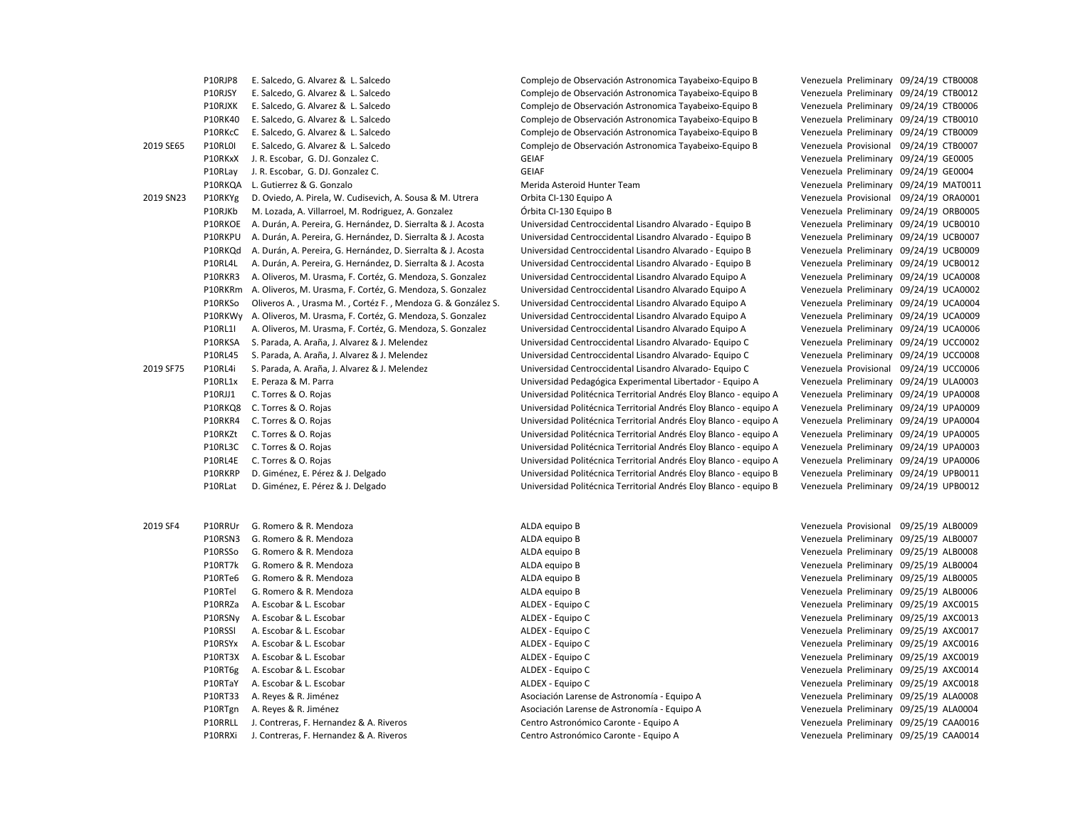|           | P10RJP8        | E. Salcedo, G. Alvarez & L. Salcedo                                | Complejo de Observación Astronomica Tayabeixo-Equipo B            | Venezuela Preliminary 09/24/19 CTB0008 |  |
|-----------|----------------|--------------------------------------------------------------------|-------------------------------------------------------------------|----------------------------------------|--|
|           | P10RJSY        | E. Salcedo, G. Alvarez & L. Salcedo                                | Complejo de Observación Astronomica Tayabeixo-Equipo B            | Venezuela Preliminary 09/24/19 CTB0012 |  |
|           | P10RJXK        | E. Salcedo, G. Alvarez & L. Salcedo                                | Complejo de Observación Astronomica Tayabeixo-Equipo B            | Venezuela Preliminary 09/24/19 CTB0006 |  |
|           | P10RK40        | E. Salcedo, G. Alvarez & L. Salcedo                                | Complejo de Observación Astronomica Tayabeixo-Equipo B            | Venezuela Preliminary 09/24/19 CTB0010 |  |
|           | P10RKcC        | E. Salcedo, G. Alvarez & L. Salcedo                                | Complejo de Observación Astronomica Tayabeixo-Equipo B            | Venezuela Preliminary 09/24/19 CTB0009 |  |
| 2019 SE65 | P10RL0I        | E. Salcedo, G. Alvarez & L. Salcedo                                | Complejo de Observación Astronomica Tayabeixo-Equipo B            | Venezuela Provisional 09/24/19 CTB0007 |  |
|           | P10RKxX        | J. R. Escobar, G. DJ. Gonzalez C.                                  | <b>GEIAF</b>                                                      | Venezuela Preliminary 09/24/19 GE0005  |  |
|           | P10RLay        | J. R. Escobar, G. DJ. Gonzalez C.                                  | <b>GEIAF</b>                                                      | Venezuela Preliminary 09/24/19 GE0004  |  |
|           |                | P10RKQA L. Gutierrez & G. Gonzalo                                  | Merida Asteroid Hunter Team                                       | Venezuela Preliminary 09/24/19 MAT001: |  |
| 2019 SN23 | P10RKYg        | D. Oviedo, A. Pirela, W. Cudisevich, A. Sousa & M. Utrera          | Orbita CI-130 Equipo A                                            | Venezuela Provisional 09/24/19 ORA0001 |  |
|           | P10RJKb        | M. Lozada, A. Villarroel, M. Rodriguez, A. Gonzalez                | Orbita CI-130 Equipo B                                            | Venezuela Preliminary 09/24/19 ORB0005 |  |
|           | P10RKOE        | A. Durán, A. Pereira, G. Hernández, D. Sierralta & J. Acosta       | Universidad Centroccidental Lisandro Alvarado - Equipo B          | Venezuela Preliminary 09/24/19 UCB0010 |  |
|           | P10RKPU        | A. Durán, A. Pereira, G. Hernández, D. Sierralta & J. Acosta       | Universidad Centroccidental Lisandro Alvarado - Equipo B          | Venezuela Preliminary 09/24/19 UCB0007 |  |
|           | P10RKQd        | A. Durán, A. Pereira, G. Hernández, D. Sierralta & J. Acosta       | Universidad Centroccidental Lisandro Alvarado - Equipo B          | Venezuela Preliminary 09/24/19 UCB0009 |  |
|           | P10RL4L        | A. Durán, A. Pereira, G. Hernández, D. Sierralta & J. Acosta       | Universidad Centroccidental Lisandro Alvarado - Equipo B          | Venezuela Preliminary 09/24/19 UCB0012 |  |
|           | P10RKR3        | A. Oliveros, M. Urasma, F. Cortéz, G. Mendoza, S. Gonzalez         | Universidad Centroccidental Lisandro Alvarado Equipo A            | Venezuela Preliminary 09/24/19 UCA0008 |  |
|           | P10RKRm        | A. Oliveros, M. Urasma, F. Cortéz, G. Mendoza, S. Gonzalez         | Universidad Centroccidental Lisandro Alvarado Equipo A            | Venezuela Preliminary 09/24/19 UCA0002 |  |
|           | P10RKSo        | Oliveros A., Urasma M., Cortéz F., Mendoza G. & González S.        | Universidad Centroccidental Lisandro Alvarado Equipo A            | Venezuela Preliminary 09/24/19 UCA0004 |  |
|           |                | P10RKWy A. Oliveros, M. Urasma, F. Cortéz, G. Mendoza, S. Gonzalez | Universidad Centroccidental Lisandro Alvarado Equipo A            | Venezuela Preliminary 09/24/19 UCA0009 |  |
|           | <b>P10RL1I</b> | A. Oliveros, M. Urasma, F. Cortéz, G. Mendoza, S. Gonzalez         | Universidad Centroccidental Lisandro Alvarado Equipo A            | Venezuela Preliminary 09/24/19 UCA0006 |  |
|           | P10RKSA        | S. Parada, A. Araña, J. Alvarez & J. Melendez                      | Universidad Centroccidental Lisandro Alvarado- Equipo C           | Venezuela Preliminary 09/24/19 UCC0002 |  |
|           | P10RL45        | S. Parada, A. Araña, J. Alvarez & J. Melendez                      | Universidad Centroccidental Lisandro Alvarado-Equipo C            | Venezuela Preliminary 09/24/19 UCC0008 |  |
| 2019 SF75 | P10RL4i        | S. Parada, A. Araña, J. Alvarez & J. Melendez                      | Universidad Centroccidental Lisandro Alvarado- Equipo C           | Venezuela Provisional 09/24/19 UCC0006 |  |
|           | P10RL1x        | E. Peraza & M. Parra                                               | Universidad Pedagógica Experimental Libertador - Equipo A         | Venezuela Preliminary 09/24/19 ULA0003 |  |
|           | P10RJJ1        | C. Torres & O. Rojas                                               | Universidad Politécnica Territorial Andrés Eloy Blanco - equipo A | Venezuela Preliminary 09/24/19 UPA0008 |  |
|           | P10RKQ8        | C. Torres & O. Rojas                                               | Universidad Politécnica Territorial Andrés Eloy Blanco - equipo A | Venezuela Preliminary 09/24/19 UPA0009 |  |
|           | P10RKR4        | C. Torres & O. Rojas                                               | Universidad Politécnica Territorial Andrés Eloy Blanco - equipo A | Venezuela Preliminary 09/24/19 UPA0004 |  |
|           | P10RKZt        | C. Torres & O. Rojas                                               | Universidad Politécnica Territorial Andrés Eloy Blanco - equipo A | Venezuela Preliminary 09/24/19 UPA0005 |  |
|           | P10RL3C        | C. Torres & O. Rojas                                               | Universidad Politécnica Territorial Andrés Eloy Blanco - equipo A | Venezuela Preliminary 09/24/19 UPA0003 |  |
|           | P10RL4E        | C. Torres & O. Rojas                                               | Universidad Politécnica Territorial Andrés Eloy Blanco - equipo A | Venezuela Preliminary 09/24/19 UPA0006 |  |
|           | P10RKRP        | D. Giménez, E. Pérez & J. Delgado                                  | Universidad Politécnica Territorial Andrés Eloy Blanco - equipo B | Venezuela Preliminary 09/24/19 UPB0011 |  |
|           | P10RLat        | D. Giménez, E. Pérez & J. Delgado                                  | Universidad Politécnica Territorial Andrés Eloy Blanco - equipo B | Venezuela Preliminary 09/24/19 UPB0012 |  |
| 2019 SF4  | P10RRUr        | G. Romero & R. Mendoza                                             | ALDA equipo B                                                     | Venezuela Provisional 09/25/19 ALB0009 |  |
|           | P10RSN3        | G. Romero & R. Mendoza                                             | ALDA equipo B                                                     | Venezuela Preliminary 09/25/19 ALB0007 |  |
|           | P10RSSo        | G. Romero & R. Mendoza                                             | ALDA equipo B                                                     | Venezuela Preliminary 09/25/19 ALB0008 |  |
|           | P10RT7k        | G. Romero & R. Mendoza                                             | ALDA equipo B                                                     | Venezuela Preliminary 09/25/19 ALB0004 |  |
|           | P10RTe6        | G. Romero & R. Mendoza                                             | ALDA equipo B                                                     | Venezuela Preliminary 09/25/19 ALB0005 |  |
|           | P10RTel        | G. Romero & R. Mendoza                                             | ALDA equipo B                                                     | Venezuela Preliminary 09/25/19 ALB0006 |  |
|           | P10RRZa        | A. Escobar & L. Escobar                                            | ALDEX - Equipo C                                                  | Venezuela Preliminary 09/25/19 AXC0015 |  |
|           | P10RSNy        | A. Escobar & L. Escobar                                            | ALDEX - Equipo C                                                  | Venezuela Preliminary 09/25/19 AXC0013 |  |
|           | P10RSSI        | A. Escobar & L. Escobar                                            | ALDEX - Equipo C                                                  | Venezuela Preliminary 09/25/19 AXC0017 |  |
|           | P10RSYx        | A. Escobar & L. Escobar                                            | ALDEX - Equipo C                                                  | Venezuela Preliminary 09/25/19 AXC0016 |  |
|           | P10RT3X        | A. Escobar & L. Escobar                                            | ALDEX - Equipo C                                                  | Venezuela Preliminary 09/25/19 AXC0019 |  |
|           | P10RT6g        | A. Escobar & L. Escobar                                            | ALDEX - Equipo C                                                  | Venezuela Preliminary 09/25/19 AXC0014 |  |
|           |                | P10RTaY A. Escobar & L. Escobar                                    | ALDEX - Equipo C                                                  | Venezuela Preliminary 09/25/19 AXC0018 |  |
|           |                |                                                                    |                                                                   |                                        |  |

| SF <sub>4</sub> | P10RRUr | G. Romero & R. Mendoza                  | ALDA equipo B                               | Venezuela Provisional 09/25/19 ALB0009 |  |
|-----------------|---------|-----------------------------------------|---------------------------------------------|----------------------------------------|--|
|                 | P10RSN3 | G. Romero & R. Mendoza                  | ALDA equipo B                               | Venezuela Preliminary 09/25/19 ALB0007 |  |
|                 | P10RSSo | G. Romero & R. Mendoza                  | ALDA equipo B                               | Venezuela Preliminary 09/25/19 ALB0008 |  |
|                 | P10RT7k | G. Romero & R. Mendoza                  | ALDA equipo B                               | Venezuela Preliminary 09/25/19 ALB0004 |  |
|                 | P10RTe6 | G. Romero & R. Mendoza                  | ALDA equipo B                               | Venezuela Preliminary 09/25/19 ALB0005 |  |
|                 | P10RTel | G. Romero & R. Mendoza                  | ALDA equipo B                               | Venezuela Preliminary 09/25/19 ALB0006 |  |
|                 | P10RRZa | A. Escobar & L. Escobar                 | ALDEX - Equipo C                            | Venezuela Preliminary 09/25/19 AXC0015 |  |
|                 | P10RSNy | A. Escobar & L. Escobar                 | ALDEX - Equipo C                            | Venezuela Preliminary 09/25/19 AXC0013 |  |
|                 | P10RSSI | A. Escobar & L. Escobar                 | ALDEX - Equipo C                            | Venezuela Preliminary 09/25/19 AXC0017 |  |
|                 | P10RSYx | A. Escobar & L. Escobar                 | ALDEX - Equipo C                            | Venezuela Preliminary 09/25/19 AXC0016 |  |
|                 | P10RT3X | A. Escobar & L. Escobar                 | ALDEX - Equipo C                            | Venezuela Preliminary 09/25/19 AXC0019 |  |
|                 | P10RT6g | A. Escobar & L. Escobar                 | ALDEX - Equipo C                            | Venezuela Preliminary 09/25/19 AXC0014 |  |
|                 | P10RTaY | A. Escobar & L. Escobar                 | ALDEX - Equipo C                            | Venezuela Preliminary 09/25/19 AXC0018 |  |
|                 | P10RT33 | A. Reyes & R. Jiménez                   | Asociación Larense de Astronomía - Equipo A | Venezuela Preliminary 09/25/19 ALA0008 |  |
|                 | P10RTgn | A. Reyes & R. Jiménez                   | Asociación Larense de Astronomía - Equipo A | Venezuela Preliminary 09/25/19 ALA0004 |  |
|                 | P10RRLL | J. Contreras, F. Hernandez & A. Riveros | Centro Astronómico Caronte - Equipo A       | Venezuela Preliminary 09/25/19 CAA0016 |  |
|                 | P10RRXi | J. Contreras, F. Hernandez & A. Riveros | Centro Astronómico Caronte - Equipo A       | Venezuela Preliminary 09/25/19 CAA0014 |  |

| ALDA equipo B                               |  |  |  |  |
|---------------------------------------------|--|--|--|--|
| ALDA equipo B                               |  |  |  |  |
| ALDA equipo B                               |  |  |  |  |
| ALDA equipo B                               |  |  |  |  |
| ALDA equipo B                               |  |  |  |  |
| ALDA equipo B                               |  |  |  |  |
| ALDEX - Equipo C                            |  |  |  |  |
| ALDEX - Equipo C                            |  |  |  |  |
| ALDEX - Equipo C                            |  |  |  |  |
| ALDEX - Equipo C                            |  |  |  |  |
| ALDEX - Equipo C                            |  |  |  |  |
| ALDEX - Equipo C                            |  |  |  |  |
| ALDEX - Equipo C                            |  |  |  |  |
| Asociación Larense de Astronomía - Equipo A |  |  |  |  |
| Asociación Larense de Astronomía - Equipo A |  |  |  |  |
| Centro Astronómico Caronte - Equipo A       |  |  |  |  |
| Centro Astronómico Caronte - Equipo A       |  |  |  |  |

| /enezuela Provisional | 09/25/19 ALB0009 |  |
|-----------------------|------------------|--|
| /enezuela Preliminary | 09/25/19 ALB0007 |  |
| /enezuela Preliminary | 09/25/19 ALB0008 |  |
| /enezuela Preliminary | 09/25/19 ALB0004 |  |
| Venezuela Preliminary | 09/25/19 ALB0005 |  |
| Venezuela Preliminary | 09/25/19 ALB0006 |  |
| Venezuela Preliminary | 09/25/19 AXC0015 |  |
| Venezuela Preliminary | 09/25/19 AXC0013 |  |
| Venezuela Preliminary | 09/25/19 AXC0017 |  |
| Venezuela Preliminary | 09/25/19 AXC0016 |  |
| Venezuela Preliminary | 09/25/19 AXC0019 |  |
| Venezuela Preliminary | 09/25/19 AXC0014 |  |
| Venezuela Preliminary | 09/25/19 AXC0018 |  |
| /enezuela Preliminary | 09/25/19 ALA0008 |  |
| Venezuela Preliminary | 09/25/19 ALA0004 |  |
| Venezuela Preliminary | 09/25/19 CAA0016 |  |
| Venezuela Preliminary | 09/25/19 CAA0014 |  |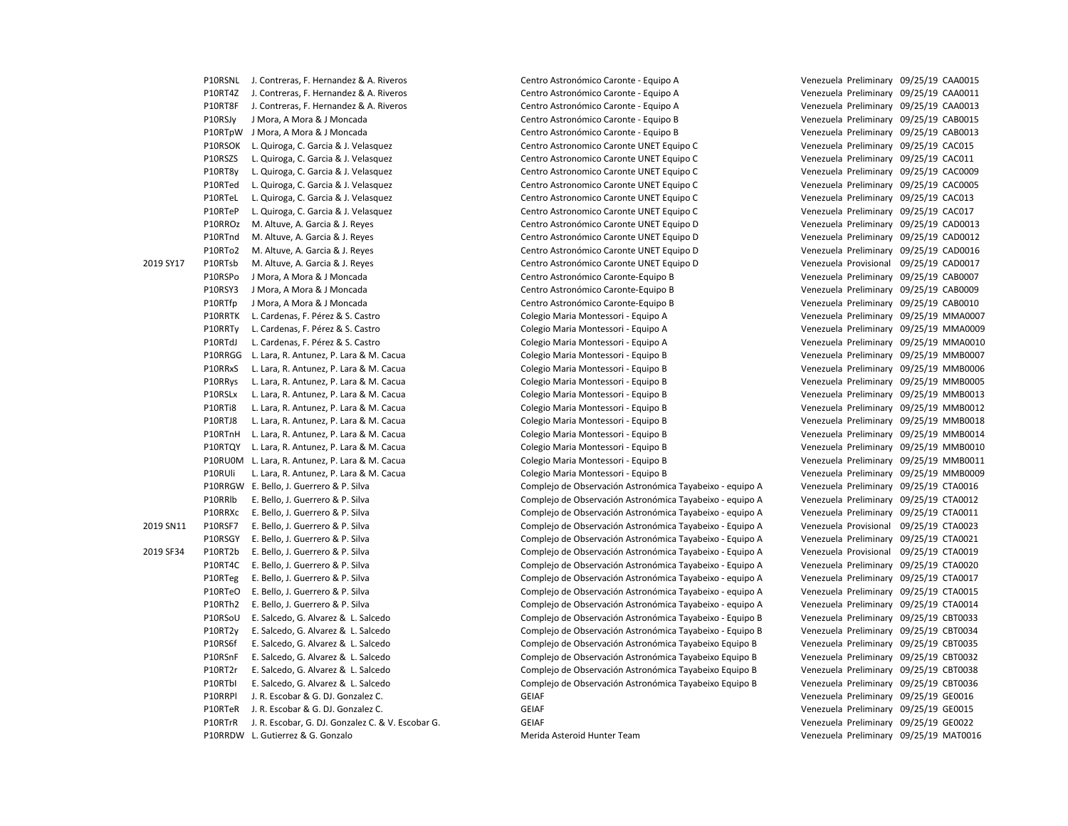2019 SY17 P10RTsb M. Altuve, A. Garcia & J. Reyes Centro Astronómico Caronte UNET Equipo D Venezuela Provisional 09/25/19 CAD0017 2019 SN11 P10RSF7 E. Bello, J. Guerrero & P. Silva Complejo de Observación Astronómica Tayabeixo - Equipo A Venezuela Provisional 09/25/19 CTA0023 2019 SF34 P10RT2b E. Bello, J. Guerrero & P. Silva Complejo de Observación Astronómica Tayabeixo - Equipo A Venezuela Provisional 09/25/19 CTA0019 P10RRDW L. Gutierrez & G. Gonzalo **Merica Asteroid Hunter Team** Venezuela Preliminary 09/25/19 MAT0016

P10RSNL J. Contreras, F. Hernandez & A. Riveros Centro Astronómico Caronte - Equipo A Venezuela Preliminary 09/25/19 CAA0015 P10RT4Z J. Contreras, F. Hernandez & A. Riveros Centro Astronómico Caronte - Equipo A Venezuela Preliminary 09/25/19 CAA0011 P10RT8F J. Contreras, F. Hernandez & A. Riveros Centro Astronómico Caronte - Equipo A Venezuela Preliminary 09/25/19 CAA0013 P10RSJy J Mora, A Mora & J Moncada Centro Astronómico Caronte - Equipo B Venezuela Preliminary 09/25/19 CAB0015 P10RTpW J Mora, A Mora & J Moncada Centro Astronómico Caronte - Equipo B Venezuela Preliminary 09/25/19 CAB0013 P10RSOK L. Quiroga, C. Garcia & J. Velasquez Centro Astronomico Caronte UNET Equipo C Venezuela Preliminary 09/25/19 CAC015 P10RSZS L. Quiroga, C. Garcia & J. Velasquez Centro Astronomico Caronte UNET Equipo C Venezuela Preliminary 09/25/19 CAC011 P10RT8y L. Quiroga, C. Garcia & J. Velasquez Centro Astronomico Caronte UNET Equipo C Venezuela Preliminary 09/25/19 CAC0009 P10RTed L. Quiroga, C. Garcia & J. Velasquez Centro Astronomico Caronte UNET Equipo C Venezuela Preliminary 09/25/19 CAC0005 P10RTeL L. Quiroga, C. Garcia & J. Velasquez Centro Astronomico Caronte UNET Equipo C Venezuela Preliminary 09/25/19 CAC013 P10RTeP L. Quiroga, C. Garcia & J. Velasquez Centro Astronomico Caronte UNET Equipo C Venezuela Preliminary 09/25/19 CAC017 P10RROz M. Altuve, A. Garcia & J. Reyes Centro Astronómico Caronte UNET Equipo D Venezuela Preliminary 09/25/19 CAD0013 P10RTnd M. Altuve, A. Garcia & J. Reyes Centro Astronómico Caronte UNET Equipo D Venezuela Preliminary 09/25/19 CAD0012 P10RTo2 M. Altuve, A. Garcia & J. Reyes Centro Astronómico Caronte UNET Equipo D Venezuela Preliminary 09/25/19 CAD0016 P10RSPo J Mora, A Mora & J Moncada Centro Astronómico Caronte-Equipo B Venezuela Preliminary 09/25/19 CAB0007 P10RSY3 J Mora, A Mora & J Moncada Centro Astronómico Caronte-Equipo B Venezuela Preliminary 09/25/19 CAB0009 P10RTfp J Mora, A Mora & J Moncada Centro Astronómico Caronte-Equipo B Venezuela Preliminary 09/25/19 CAB0010 P10RRTK L. Cardenas, F. Pérez & S. Castro Colegio Maria Montessori - Equipo A Venezuela Preliminary 09/25/19 MMA0007 P10RRTy L. Cardenas, F. Pérez & S. Castro Colegio Maria Montessori - Equipo A Venezuela Preliminary 09/25/19 MMA0009 P10RTdJ L. Cardenas, F. Pérez & S. Castro Colegio Maria Montessori - Equipo A Venezuela Preliminary 09/25/19 MMA0010 P10RRGG L. Lara, R. Antunez, P. Lara & M. Cacua Colegio Maria Montessori - Equipo B Venezuela Preliminary 09/25/19 MMB0007 P10RRxS L. Lara, R. Antunez, P. Lara & M. Cacua Colegio Maria Montessori - Equipo B Venezuela Preliminary 09/25/19 MMB0006 P10RRys L. Lara, R. Antunez, P. Lara & M. Cacua Colegio Maria Montessori - Equipo B Venezuela Preliminary 09/25/19 MMB0005 P10RSLx L. Lara, R. Antunez, P. Lara & M. Cacua Colegio Maria Montessori - Equipo B Venezuela Preliminary 09/25/19 MMB0013 P10RTi8 L. Lara, R. Antunez, P. Lara & M. Cacua Colegio Maria Montessori - Equipo B Venezuela Preliminary 09/25/19 MMB0012 P10RTJ8 L. Lara, R. Antunez, P. Lara & M. Cacua Colegio Maria Montessori - Equipo B Venezuela Preliminary 09/25/19 MMB0018 P10RTnH L. Lara, R. Antunez, P. Lara & M. Cacua Colegio Maria Montessori - Equipo B Venezuela Preliminary 09/25/19 MMB0014 P10RTQY L. Lara, R. Antunez, P. Lara & M. Cacua Colegio Maria Montessori - Equipo B Venezuela Preliminary 09/25/19 MMB0010 P10RU0M L. Lara, R. Antunez, P. Lara & M. Cacua Colegio Maria Montessori - Equipo B Venezuela Preliminary 09/25/19 MMB0011 P10RUli L. Lara, R. Antunez, P. Lara & M. Cacua Colegio Maria Montessori - Equipo B Venezuela Preliminary 09/25/19 MMB0009 P10RRGW E. Bello, J. Guerrero & P. Silva Complejo de Observación Astronómica Tayabeixo - equipo A Venezuela Preliminary 09/25/19 CTA0016 P10RRlb E. Bello, J. Guerrero & P. Silva Complejo de Observación Astronómica Tayabeixo - equipo A Venezuela Preliminary 09/25/19 CTA0012 P10RRXc E. Bello, J. Guerrero & P. Silva Complejo de Observación Astronómica Tayabeixo - equipo A Venezuela Preliminary 09/25/19 CTA0011 P10RSGY E. Bello, J. Guerrero & P. Silva Complejo de Observación Astronómica Tayabeixo - Equipo A Venezuela Preliminary 09/25/19 CTA0021 P10RT4C E. Bello, J. Guerrero & P. Silva Complejo de Observación Astronómica Tayabeixo - Equipo A Venezuela Preliminary 09/25/19 CTA0020 P10RTeg E. Bello, J. Guerrero & P. Silva Complejo de Observación Astronómica Tayabeixo - equipo A Venezuela Preliminary 09/25/19 CTA0017 P10RTeO E. Bello, J. Guerrero & P. Silva Complejo de Observación Astronómica Tayabeixo - equipo A Venezuela Preliminary 09/25/19 CTA0015 P10RTh2 E. Bello, J. Guerrero & P. Silva Complejo de Observación Astronómica Tayabeixo - equipo A Venezuela Preliminary 09/25/19 CTA0014 P10RSoU E. Salcedo, G. Alvarez & L. Salcedo Complejo de Observación Astronómica Tayabeixo - Equipo B Venezuela Preliminary 09/25/19 CBT0033 P10RT2y E. Salcedo, G. Alvarez & L. Salcedo Complejo de Observación Astronómica Tayabeixo - Equipo B Venezuela Preliminary 09/25/19 CBT0034 P10RS6f E. Salcedo, G. Alvarez & L. Salcedo Complejo de Observación Astronómica Tayabeixo Equipo B Venezuela Preliminary 09/25/19 CBT0035 P10RSnF E. Salcedo, G. Alvarez & L. Salcedo Complejo de Observación Astronómica Tayabeixo Equipo B Venezuela Preliminary 09/25/19 CBT0032 P10RT2r E. Salcedo, G. Alvarez & L. Salcedo Complejo de Observación Astronómica Tayabeixo Equipo B Venezuela Preliminary 09/25/19 CBT0038 P10RTbI E. Salcedo, G. Alvarez & L. Salcedo Complejo de Observación Astronómica Tayabeixo Equipo B Venezuela Preliminary 09/25/19 CBT0036 P10RRPl J. R. Escobar & G. DJ. Gonzalez C. Canadia Company Company Company GEIAF Canadia Preliminary 09/25/19 GE0016 P10RTeR J. R. Escobar & G. DJ. Gonzalez C. Canadia Company of the GEIAF GEIAF Canadia Preliminary 09/25/19 GE0015 P10RTrR J. R. Escobar, G. DJ. Gonzalez C. & V. Escobar G. GEIAF Venezuela Preliminary 09/25/19 GE0022